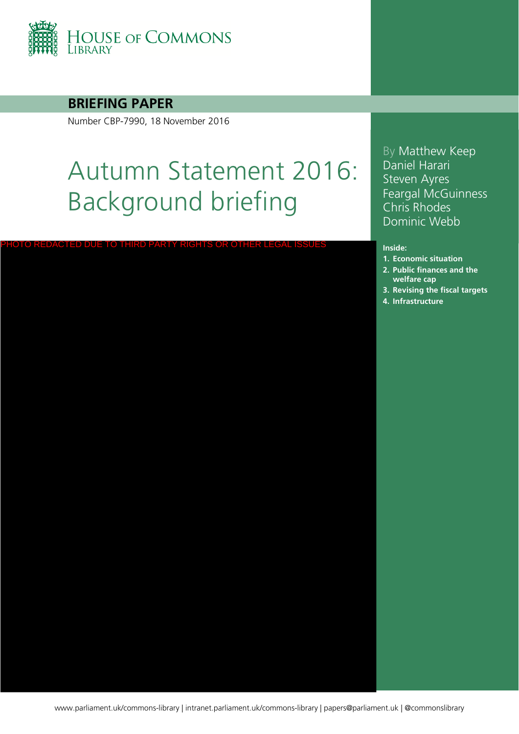

# **BRIEFING PAPER**

Number CBP-7990, 18 November 2016

PHOTO REDACTED DUE TO THIRD PARTY RIGHTS OR OTHER LEGAL ISS

# Autumn Statement 2016: Background briefing

By Matthew Keep Daniel Harari Steven Ayres Feargal McGuinness Chris Rhodes Dominic Webb

#### **Inside:**

- **1. [Economic situation](#page-4-0)**
- **2. Public finances and the welfare cap**
- **3. [Revising the fiscal targets](#page-25-0)**
- **4. [Infrastructure](#page-29-0)**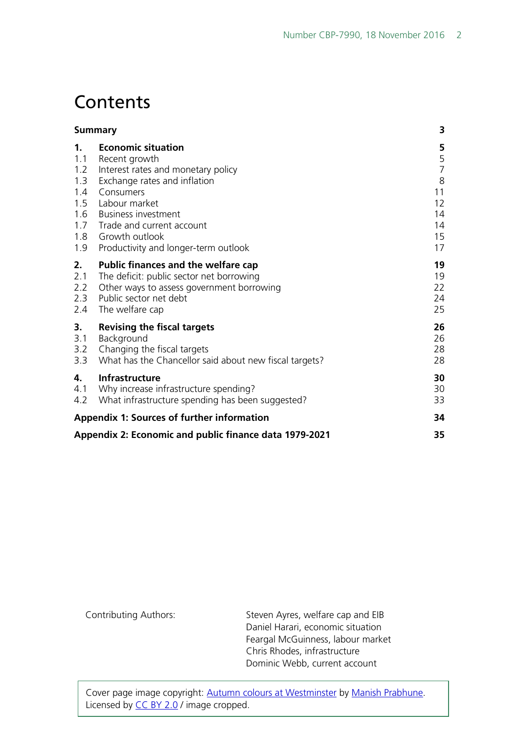# **Contents**

|                                                                               | <b>Summary</b>                                                                                                                                                                                                                                                      | 3                                                           |
|-------------------------------------------------------------------------------|---------------------------------------------------------------------------------------------------------------------------------------------------------------------------------------------------------------------------------------------------------------------|-------------------------------------------------------------|
| 1 <sub>1</sub><br>1.1<br>1.2<br>1.3<br>1.4<br>1.5<br>1.6<br>1.7<br>1.8<br>1.9 | <b>Economic situation</b><br>Recent growth<br>Interest rates and monetary policy<br>Exchange rates and inflation<br>Consumers<br>Labour market<br><b>Business investment</b><br>Trade and current account<br>Growth outlook<br>Productivity and longer-term outlook | 5<br>$\frac{5}{7}$<br>8<br>11<br>12<br>14<br>14<br>15<br>17 |
| 2.<br>2.1<br>2.2<br>2.3<br>2.4                                                | Public finances and the welfare cap<br>The deficit: public sector net borrowing<br>Other ways to assess government borrowing<br>Public sector net debt<br>The welfare cap                                                                                           | 19<br>19<br>22<br>24<br>25                                  |
| 3.<br>3.1<br>3.2<br>3.3                                                       | <b>Revising the fiscal targets</b><br>Background<br>Changing the fiscal targets<br>What has the Chancellor said about new fiscal targets?                                                                                                                           | 26<br>26<br>28<br>28                                        |
| 4.<br>4.1<br>4.2                                                              | <b>Infrastructure</b><br>Why increase infrastructure spending?<br>What infrastructure spending has been suggested?                                                                                                                                                  | 30<br>30<br>33                                              |
| <b>Appendix 1: Sources of further information</b>                             | 34                                                                                                                                                                                                                                                                  |                                                             |
|                                                                               | Appendix 2: Economic and public finance data 1979-2021                                                                                                                                                                                                              | 35                                                          |

Contributing Authors: Steven Ayres, welfare cap and EIB Daniel Harari, economic situation Feargal McGuinness, labour market Chris Rhodes, infrastructure Dominic Webb, current account

Cover page image copyright: [Autumn colours at Westminster](https://www.flickr.com/photos/suzumenonamida/15626618581) by [Manish Prabhune.](https://www.flickr.com/photos/suzumenonamida/15626618581) Licensed by [CC BY 2.0](https://creativecommons.org/licenses/by/2.0/) / image cropped.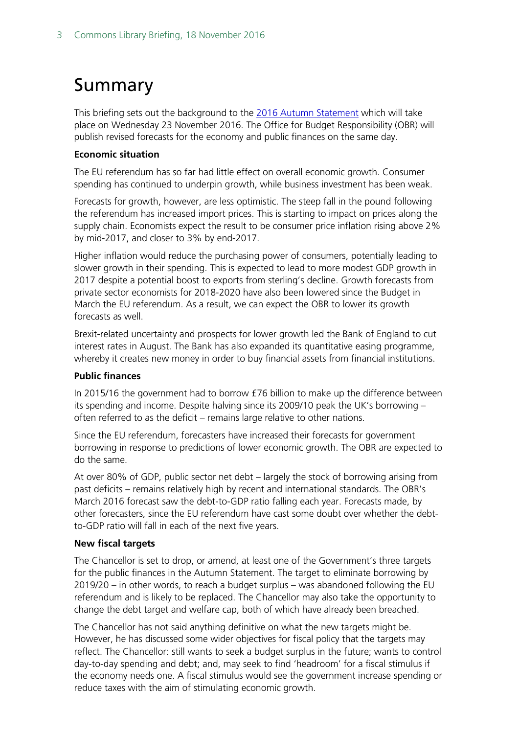# <span id="page-2-0"></span>Summary

This briefing sets out the background to the [2016 Autumn Statement](https://www.gov.uk/government/topical-events/autumn-statement-2016) which will take place on Wednesday 23 November 2016. The Office for Budget Responsibility (OBR) will publish revised forecasts for the economy and public finances on the same day.

## **Economic situation**

The EU referendum has so far had little effect on overall economic growth. Consumer spending has continued to underpin growth, while business investment has been weak.

Forecasts for growth, however, are less optimistic. The steep fall in the pound following the referendum has increased import prices. This is starting to impact on prices along the supply chain. Economists expect the result to be consumer price inflation rising above 2% by mid-2017, and closer to 3% by end-2017.

Higher inflation would reduce the purchasing power of consumers, potentially leading to slower growth in their spending. This is expected to lead to more modest GDP growth in 2017 despite a potential boost to exports from sterling's decline. Growth forecasts from private sector economists for 2018-2020 have also been lowered since the Budget in March the EU referendum. As a result, we can expect the OBR to lower its growth forecasts as well.

Brexit-related uncertainty and prospects for lower growth led the Bank of England to cut interest rates in August. The Bank has also expanded its quantitative easing programme, whereby it creates new money in order to buy financial assets from financial institutions.

## **Public finances**

In 2015/16 the government had to borrow £76 billion to make up the difference between its spending and income. Despite halving since its 2009/10 peak the UK's borrowing – often referred to as the deficit – remains large relative to other nations.

Since the EU referendum, forecasters have increased their forecasts for government borrowing in response to predictions of lower economic growth. The OBR are expected to do the same.

At over 80% of GDP, public sector net debt – largely the stock of borrowing arising from past deficits – remains relatively high by recent and international standards. The OBR's March 2016 forecast saw the debt-to-GDP ratio falling each year. Forecasts made, by other forecasters, since the EU referendum have cast some doubt over whether the debtto-GDP ratio will fall in each of the next five years.

## **New fiscal targets**

The Chancellor is set to drop, or amend, at least one of the Government's three targets for the public finances in the Autumn Statement. The target to eliminate borrowing by 2019/20 – in other words, to reach a budget surplus – was abandoned following the EU referendum and is likely to be replaced. The Chancellor may also take the opportunity to change the debt target and welfare cap, both of which have already been breached.

The Chancellor has not said anything definitive on what the new targets might be. However, he has discussed some wider objectives for fiscal policy that the targets may reflect. The Chancellor: still wants to seek a budget surplus in the future; wants to control day-to-day spending and debt; and, may seek to find 'headroom' for a fiscal stimulus if the economy needs one. A fiscal stimulus would see the government increase spending or reduce taxes with the aim of stimulating economic growth.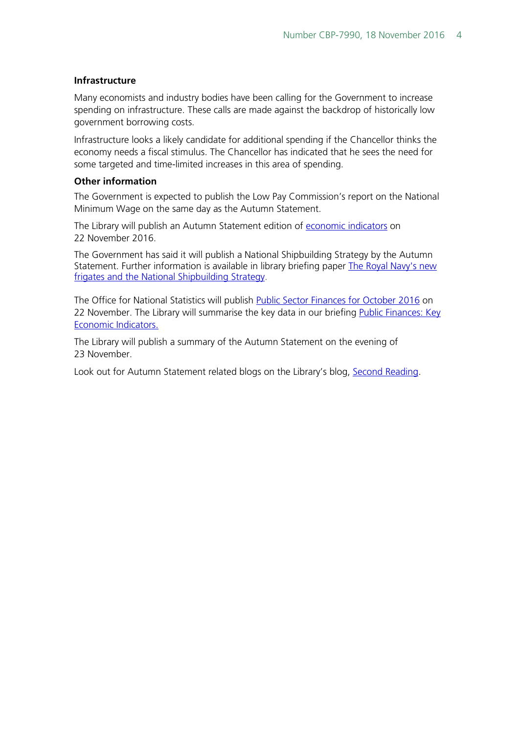#### **Infrastructure**

Many economists and industry bodies have been calling for the Government to increase spending on infrastructure. These calls are made against the backdrop of historically low government borrowing costs.

Infrastructure looks a likely candidate for additional spending if the Chancellor thinks the economy needs a fiscal stimulus. The Chancellor has indicated that he sees the need for some targeted and time-limited increases in this area of spending.

#### **Other information**

The Government is expected to publish the Low Pay Commission's report on the National Minimum Wage on the same day as the Autumn Statement.

The Library will publish an Autumn Statement edition of [economic indicators](http://www.parliament.uk/topics/Economic-situation.htm) on 22 November 2016.

The Government has said it will publish a National Shipbuilding Strategy by the Autumn Statement. Further information is available in library briefing paper [The Royal Navy's new](http://researchbriefings.parliament.uk/ResearchBriefing/Summary/CBP-7737)  [frigates and the National Shipbuilding Strategy.](http://researchbriefings.parliament.uk/ResearchBriefing/Summary/CBP-7737)

The Office for National Statistics will publish [Public Sector Finances for October 2016](https://www.ons.gov.uk/economy/governmentpublicsectorandtaxes/publicsectorfinance/bulletins/publicsectorfinances/previousReleases) on 22 November. The Library will summarise the key data in our briefing Public Finances: Key [Economic Indicators.](http://researchbriefings.parliament.uk/ResearchBriefing/Summary/SN02812)

The Library will publish a summary of the Autumn Statement on the evening of 23 November.

Look out for Autumn Statement related blogs on the Library's blog, [Second Reading.](https://secondreading.uk/)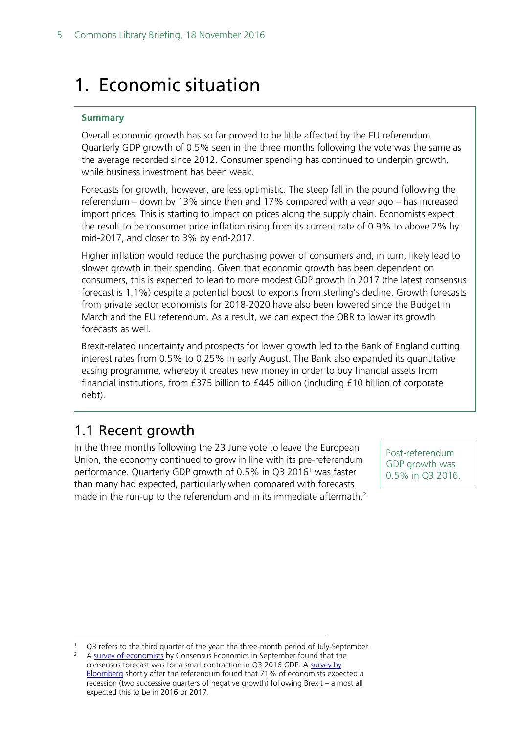# <span id="page-4-0"></span>1. Economic situation

## **Summary**

Overall economic growth has so far proved to be little affected by the EU referendum. Quarterly GDP growth of 0.5% seen in the three months following the vote was the same as the average recorded since 2012. Consumer spending has continued to underpin growth, while business investment has been weak.

Forecasts for growth, however, are less optimistic. The steep fall in the pound following the referendum – down by 13% since then and 17% compared with a year ago – has increased import prices. This is starting to impact on prices along the supply chain. Economists expect the result to be consumer price inflation rising from its current rate of 0.9% to above 2% by mid-2017, and closer to 3% by end-2017.

Higher inflation would reduce the purchasing power of consumers and, in turn, likely lead to slower growth in their spending. Given that economic growth has been dependent on consumers, this is expected to lead to more modest GDP growth in 2017 (the latest consensus forecast is 1.1%) despite a potential boost to exports from sterling's decline. Growth forecasts from private sector economists for 2018-2020 have also been lowered since the Budget in March and the EU referendum. As a result, we can expect the OBR to lower its growth forecasts as well.

Brexit-related uncertainty and prospects for lower growth led to the Bank of England cutting interest rates from 0.5% to 0.25% in early August. The Bank also expanded its quantitative easing programme, whereby it creates new money in order to buy financial assets from financial institutions, from £375 billion to £445 billion (including £10 billion of corporate debt).

# <span id="page-4-1"></span>1.1 Recent growth

In the three months following the 23 June vote to leave the European Union, the economy continued to grow in line with its pre-referendum performance. Quarterly GDP growth of 0.5% in Q3 20[1](#page-4-2)6<sup>1</sup> was faster than many had expected, particularly when compared with forecasts made in the run-up to the referendum and in its immediate aftermath.<sup>[2](#page-4-3)</sup>

Post-referendum GDP growth was 0.5% in Q3 2016.

<span id="page-4-3"></span><span id="page-4-2"></span>Q3 refers to the third quarter of the year: the three-month period of July-September.

<sup>2</sup> A [survey of economists](https://twitter.com/EdConwaySky/status/776443484668592129) by Consensus Economics in September found that the consensus forecast was for a small contraction in Q3 2016 GDP. A [survey by](http://www.bloomberg.com/news/articles/2016-06-28/get-ready-for-a-u-k-recession-lower-interest-rates-and-more-qe)  [Bloomberg](http://www.bloomberg.com/news/articles/2016-06-28/get-ready-for-a-u-k-recession-lower-interest-rates-and-more-qe) shortly after the referendum found that 71% of economists expected a recession (two successive quarters of negative growth) following Brexit – almost all expected this to be in 2016 or 2017.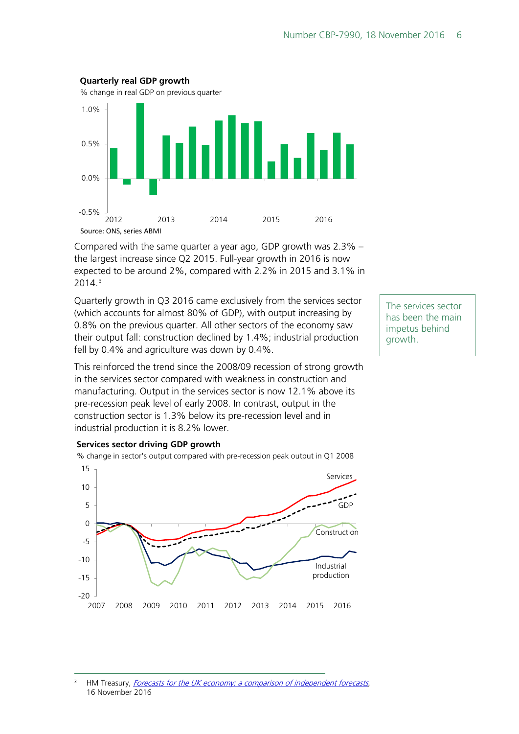

Compared with the same quarter a year ago, GDP growth was 2.3% – the largest increase since Q2 2015. Full-year growth in 2016 is now expected to be around 2%, compared with 2.2% in 2015 and 3.1% in 2014.[3](#page-5-0)

Quarterly growth in Q3 2016 came exclusively from the services sector (which accounts for almost 80% of GDP), with output increasing by 0.8% on the previous quarter. All other sectors of the economy saw their output fall: construction declined by 1.4%; industrial production fell by 0.4% and agriculture was down by 0.4%.

This reinforced the trend since the 2008/09 recession of strong growth in the services sector compared with weakness in construction and manufacturing. Output in the services sector is now 12.1% above its pre-recession peak level of early 2008. In contrast, output in the construction sector is 1.3% below its pre-recession level and in industrial production it is 8.2% lower.

The services sector has been the main impetus behind growth.

#### **Services sector driving GDP growth**

% change in sector's output compared with pre-recession peak output in Q1 2008



<span id="page-5-0"></span><sup>3</sup> HM Treasury, *[Forecasts for the UK economy: a comparison of independent forecasts](https://www.gov.uk/government/statistics/forecasts-for-the-uk-economy-november-2016)*, 16 November 2016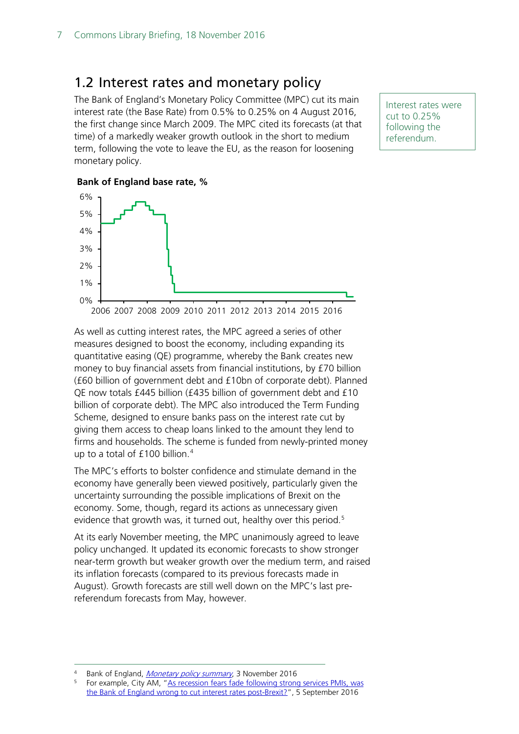# <span id="page-6-0"></span>1.2 Interest rates and monetary policy

The Bank of England's Monetary Policy Committee (MPC) cut its main interest rate (the Base Rate) from 0.5% to 0.25% on 4 August 2016, the first change since March 2009. The MPC cited its forecasts (at that time) of a markedly weaker growth outlook in the short to medium term, following the vote to leave the EU, as the reason for loosening monetary policy.

Interest rates were cut to 0.25% following the referendum.

#### **Bank of England base rate, %**



As well as cutting interest rates, the MPC agreed a series of other measures designed to boost the economy, including expanding its quantitative easing (QE) programme, whereby the Bank creates new money to buy financial assets from financial institutions, by £70 billion (£60 billion of government debt and £10bn of corporate debt). Planned QE now totals £445 billion (£435 billion of government debt and £10 billion of corporate debt). The MPC also introduced the Term Funding Scheme, designed to ensure banks pass on the interest rate cut by giving them access to cheap loans linked to the amount they lend to firms and households. The scheme is funded from newly-printed money up to a total of £100 billion.<sup>[4](#page-6-1)</sup>

The MPC's efforts to bolster confidence and stimulate demand in the economy have generally been viewed positively, particularly given the uncertainty surrounding the possible implications of Brexit on the economy. Some, though, regard its actions as unnecessary given evidence that growth was, it turned out, healthy over this period.<sup>[5](#page-6-2)</sup>

At its early November meeting, the MPC unanimously agreed to leave policy unchanged. It updated its economic forecasts to show stronger near-term growth but weaker growth over the medium term, and raised its inflation forecasts (compared to its previous forecasts made in August). Growth forecasts are still well down on the MPC's last prereferendum forecasts from May, however.

<span id="page-6-2"></span><span id="page-6-1"></span><sup>4</sup> Bank of England[,](http://www.bankofengland.co.uk/publications/Pages/news/2016/008.aspx) *Monetary policy summary*, 3 November 2016<br><sup>5</sup> For example, City AM, "As recession fears fade following strong services PMIs, was [the Bank of England wrong to cut interest rates post-Brexit?"](http://www.cityam.com/248815/recession-fears-fade-following-strong-services-pmis-bank), 5 September 2016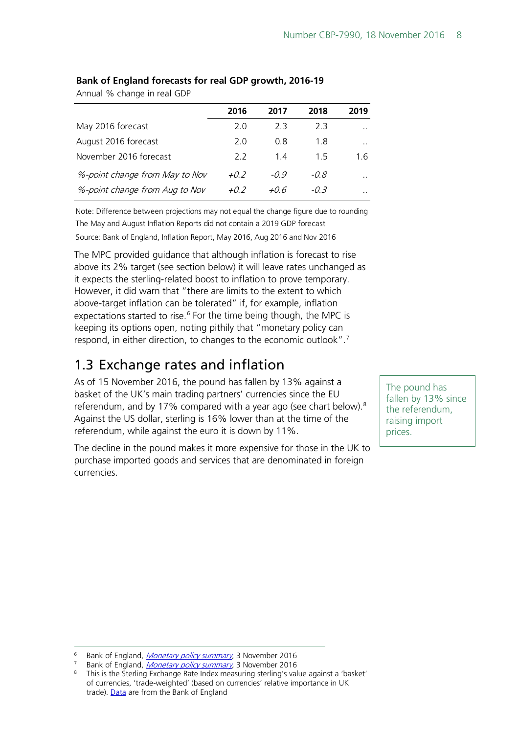|                                | 2016   | 2017   | 2018 | 2019      |
|--------------------------------|--------|--------|------|-----------|
| May 2016 forecast              | 2.0    | 23     | 23   | . .       |
| August 2016 forecast           | 2.0    | 0.8    | 1.8  | . .       |
| November 2016 forecast         | 22     | 14     | 15   | 16        |
| %-point change from May to Nov | $+0.2$ | $-0.9$ | -0.8 | . .       |
| %-point change from Aug to Nov | $+0.2$ | +0.6   | -03  | $\cdot$ . |

## **Bank of England forecasts for real GDP growth, 2016-19**

Annual % change in real GDP

Note: Difference between projections may not equal the change figure due to rounding The May and August Inflation Reports did not contain a 2019 GDP forecast

Source: Bank of England, Inflation Report, May 2016, Aug 2016 and Nov 2016

The MPC provided guidance that although inflation is forecast to rise above its 2% target (see section below) it will leave rates unchanged as it expects the sterling-related boost to inflation to prove temporary. However, it did warn that "there are limits to the extent to which above-target inflation can be tolerated" if, for example, inflation expectations started to rise. $6$  For the time being though, the MPC is keeping its options open, noting pithily that "monetary policy can respond, in either direction, to changes to the economic outlook".<sup>[7](#page-7-2)</sup>

# <span id="page-7-0"></span>1.3 Exchange rates and inflation

As of 15 November 2016, the pound has fallen by 13% against a basket of the UK's main trading partners' currencies since the EU referendum, and by 17% compared with a year ago (see chart below). $8$ Against the US dollar, sterling is 16% lower than at the time of the referendum, while against the euro it is down by 11%.

The decline in the pound makes it more expensive for those in the UK to purchase imported goods and services that are denominated in foreign currencies.

The pound has fallen by 13% since the referendum, raising import prices.

<span id="page-7-1"></span>Bank of England, [Monetary policy summary](http://www.bankofengland.co.uk/publications/Pages/news/2016/008.aspx), 3 November 2016

<span id="page-7-2"></span><sup>&</sup>lt;sup>7</sup> Bank of England, *Monetary policy summary*, 3 November 2016

<span id="page-7-3"></span><sup>&</sup>lt;sup>8</sup> This is the Sterling Exchange Rate Index measuring sterling's value against a 'basket' of currencies, 'trade-weighted' (based on currencies' relative importance in UK trade). [Data](http://www.bankofengland.co.uk/boeapps/iadb/fromshowcolumns.asp?Travel=NIxIRxSUx&FromSeries=1&ToSeries=50&DAT=RNG&FD=1&FM=Jan&FY=2015&TD=16&TM=Nov&TY=2016&VFD=Y&html.x=28&html.y=23&CSVF=TT&C=IIN&C=C8J&C=C8P&Filter=N) are from the Bank of England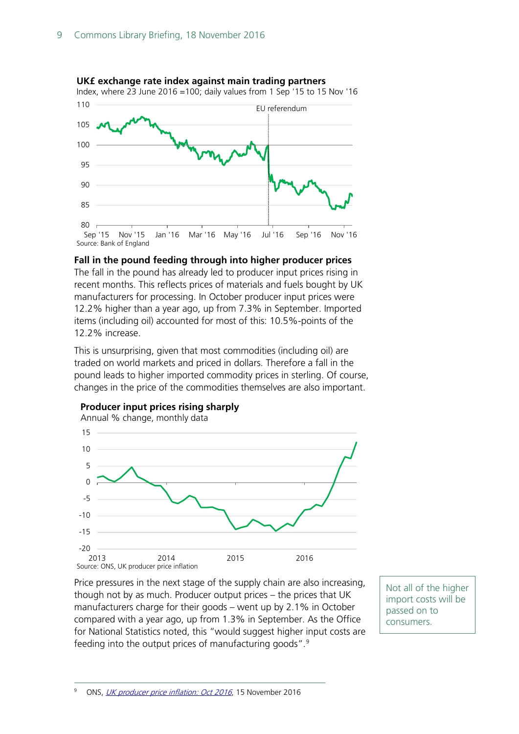

### **UK£ exchange rate index against main trading partners**

#### **Fall in the pound feeding through into higher producer prices**

The fall in the pound has already led to producer input prices rising in recent months. This reflects prices of materials and fuels bought by UK manufacturers for processing. In October producer input prices were 12.2% higher than a year ago, up from 7.3% in September. Imported items (including oil) accounted for most of this: 10.5%-points of the 12.2% increase.

This is unsurprising, given that most commodities (including oil) are traded on world markets and priced in dollars. Therefore a fall in the pound leads to higher imported commodity prices in sterling. Of course, changes in the price of the commodities themselves are also important.



### **Producer input prices rising sharply**

<span id="page-8-0"></span>Price pressures in the next stage of the supply chain are also increasing, though not by as much. Producer output prices – the prices that UK manufacturers charge for their goods – went up by 2.1% in October compared with a year ago, up from 1.3% in September. As the Office for National Statistics noted, this "would suggest higher input costs are feeding into the output prices of manufacturing goods".[9](#page-8-0)

Not all of the higher import costs will be passed on to consumers.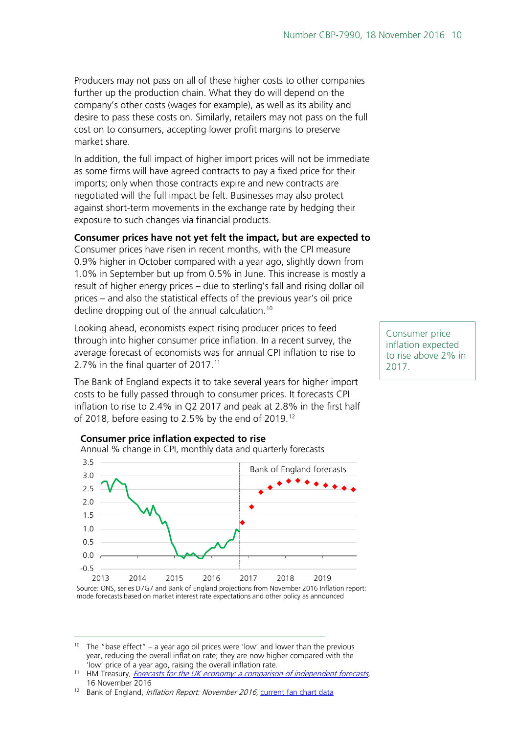Producers may not pass on all of these higher costs to other companies further up the production chain. What they do will depend on the company's other costs (wages for example), as well as its ability and desire to pass these costs on. Similarly, retailers may not pass on the full cost on to consumers, accepting lower profit margins to preserve market share.

In addition, the full impact of higher import prices will not be immediate as some firms will have agreed contracts to pay a fixed price for their imports; only when those contracts expire and new contracts are negotiated will the full impact be felt. Businesses may also protect against short-term movements in the exchange rate by hedging their exposure to such changes via financial products.

## **Consumer prices have not yet felt the impact, but are expected to**

Consumer prices have risen in recent months, with the CPI measure 0.9% higher in October compared with a year ago, slightly down from 1.0% in September but up from 0.5% in June. This increase is mostly a result of higher energy prices – due to sterling's fall and rising dollar oil prices – and also the statistical effects of the previous year's oil price decline dropping out of the annual calculation.<sup>[10](#page-9-0)</sup>

Looking ahead, economists expect rising producer prices to feed through into higher consumer price inflation. In a recent survey, the average forecast of economists was for annual CPI inflation to rise to 2.7% in the final quarter of 2017.<sup>[11](#page-9-1)</sup>

The Bank of England expects it to take several years for higher import costs to be fully passed through to consumer prices. It forecasts CPI inflation to rise to 2.4% in Q2 2017 and peak at 2.8% in the first half of 2018, before easing to 2.5% by the end of 2019.<sup>[12](#page-9-2)</sup>



**Consumer price inflation expected to rise**

Source: ONS, series D7G7 and Bank of England projections from November 2016 Inflation report: mode forecasts based on market interest rate expectations and other policy as announced

<span id="page-9-0"></span><sup>10</sup> The "base effect" – a year ago oil prices were 'low' and lower than the previous year, reducing the overall inflation rate; they are now higher compared with the 'low' price of a year ago, raising the overall inflation rate.

<span id="page-9-2"></span><sup>12</sup> Bank of England, Inflation Report: November 2016, [current fan chart data](http://www.bankofengland.co.uk/publications/Pages/inflationreport/2016/nov.aspx)

Consumer price inflation expected to rise above 2% in 2017.

<span id="page-9-1"></span><sup>&</sup>lt;sup>11</sup> HM Treasury, *Forecasts for the UK economy: a comparison of independent forecasts*, 16 November 2016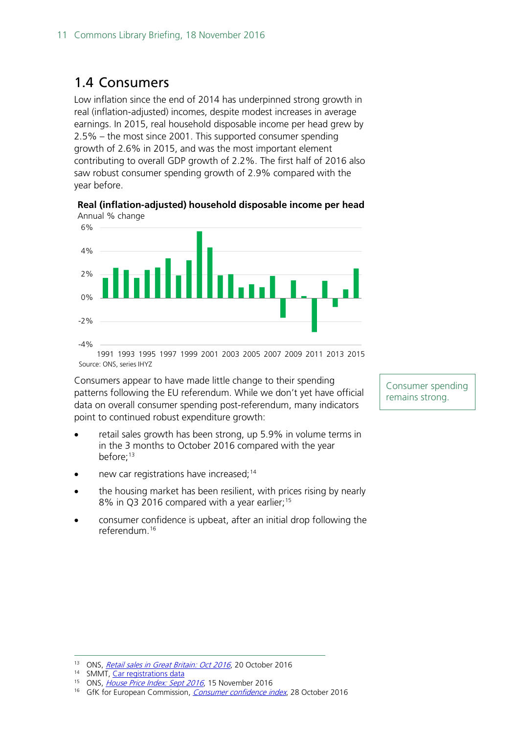# <span id="page-10-0"></span>1.4 Consumers

Low inflation since the end of 2014 has underpinned strong growth in real (inflation-adjusted) incomes, despite modest increases in average earnings. In 2015, real household disposable income per head grew by 2.5% – the most since 2001. This supported consumer spending growth of 2.6% in 2015, and was the most important element contributing to overall GDP growth of 2.2%. The first half of 2016 also saw robust consumer spending growth of 2.9% compared with the year before.

**Real (inflation-adjusted) household disposable income per head** Annual % change



1991 1993 1995 1997 1999 2001 2003 2005 2007 2009 2011 2013 2015 Source: ONS, series IHYZ

Consumers appear to have made little change to their spending patterns following the EU referendum. While we don't yet have official data on overall consumer spending post-referendum, many indicators point to continued robust expenditure growth:

- retail sales growth has been strong, up 5.9% in volume terms in in the 3 months to October 2016 compared with the year before:<sup>13</sup>
- new car registrations have increased; $^{14}$  $^{14}$  $^{14}$
- the housing market has been resilient, with prices rising by nearly 8% in Q3 2016 compared with a year earlier;<sup>[15](#page-10-3)</sup>
- consumer confidence is upbeat, after an initial drop following the referendum.[16](#page-10-4)

Consumer spending remains strong.

<span id="page-10-1"></span><sup>&</sup>lt;sup>13</sup> ONS, [Retail sales in Great Britain: Oct 2016](https://www.ons.gov.uk/businessindustryandtrade/retailindustry/bulletins/retailsales/oct2016#economic-context), 20 October 2016

<sup>14</sup> SMMT, [Car registrations data](https://www.smmt.co.uk/category/news/registrations/)

<span id="page-10-3"></span><span id="page-10-2"></span><sup>&</sup>lt;sup>15</sup> ONS, [House Price Index: Sept 2016](https://www.ons.gov.uk/economy/inflationandpriceindices/bulletins/housepriceindex/sept2016), 15 November 2016

<span id="page-10-4"></span><sup>&</sup>lt;sup>16</sup> GfK for European Commission, *[Consumer confidence index](http://www.gfk.com/en-gb/insights/press-release/consumer-confidence-index-drops-two-points/)*, 28 October 2016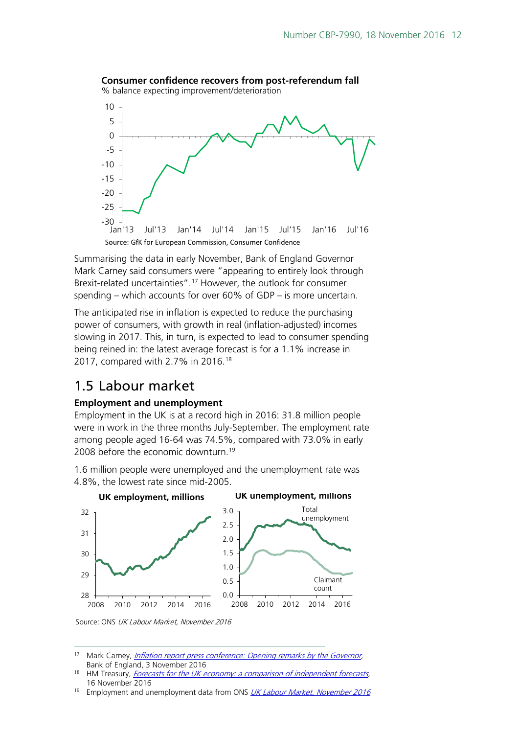

Summarising the data in early November, Bank of England Governor Mark Carney said consumers were "appearing to entirely look through Brexit-related uncertainties".[17](#page-11-1) However, the outlook for consumer spending – which accounts for over 60% of GDP – is more uncertain.

The anticipated rise in inflation is expected to reduce the purchasing power of consumers, with growth in real (inflation-adjusted) incomes slowing in 2017. This, in turn, is expected to lead to consumer spending being reined in: the latest average forecast is for a 1.1% increase in 2017, compared with 2.7% in 2016.<sup>[18](#page-11-2)</sup>

# <span id="page-11-0"></span>1.5 Labour market

## **Employment and unemployment**

Employment in the UK is at a record high in 2016: 31.8 million people were in work in the three months July-September. The employment rate among people aged 16-64 was 74.5%, compared with 73.0% in early 2008 before the economic downturn.<sup>[19](#page-11-3)</sup>

1.6 million people were unemployed and the unemployment rate was 4.8%, the lowest rate since mid-2005.



Source: ONS UK Labour Market, November 2016

<span id="page-11-1"></span><sup>&</sup>lt;sup>17</sup> Mark Carney, *Inflation report press conference: Opening remarks by the Governor*, Bank of England, 3 November 2016

<span id="page-11-2"></span>HM Treasury, Forecasts for the UK economy: a comparison of independent forecasts, 16 November 2016

<span id="page-11-3"></span><sup>&</sup>lt;sup>19</sup> Employment and unemployment data from ONS [UK Labour Market, November 2016](http://www.ons.gov.uk/employmentandlabourmarket/peopleinwork/employmentandemployeetypes/bulletins/uklabourmarket/previousReleases)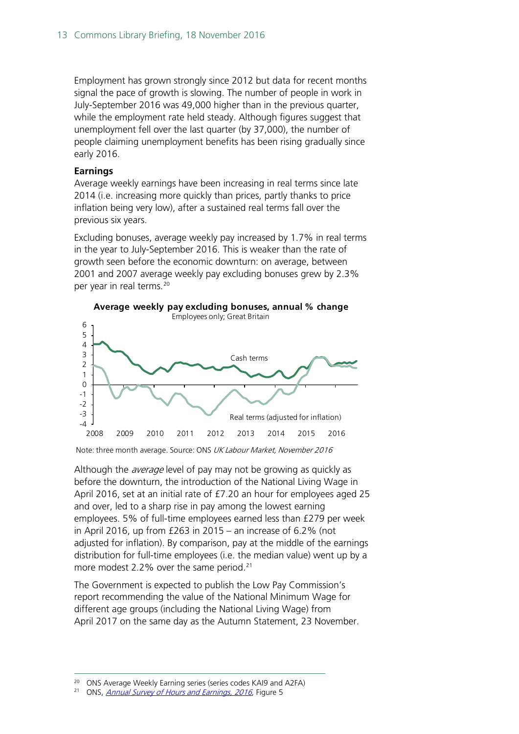Employment has grown strongly since 2012 but data for recent months signal the pace of growth is slowing. The number of people in work in July-September 2016 was 49,000 higher than in the previous quarter, while the employment rate held steady. Although figures suggest that unemployment fell over the last quarter (by 37,000), the number of people claiming unemployment benefits has been rising gradually since early 2016.

### **Earnings**

Average weekly earnings have been increasing in real terms since late 2014 (i.e. increasing more quickly than prices, partly thanks to price inflation being very low), after a sustained real terms fall over the previous six years.

Excluding bonuses, average weekly pay increased by 1.7% in real terms in the year to July-September 2016. This is weaker than the rate of growth seen before the economic downturn: on average, between 2001 and 2007 average weekly pay excluding bonuses grew by 2.3% per year in real terms.<sup>[20](#page-12-0)</sup>



Note: three month average. Source: ONS UK Labour Market, November 2016

Although the *average* level of pay may not be growing as quickly as before the downturn, the introduction of the National Living Wage in April 2016, set at an initial rate of £7.20 an hour for employees aged 25 and over, led to a sharp rise in pay among the lowest earning employees. 5% of full-time employees earned less than £279 per week in April 2016, up from £263 in 2015 – an increase of 6.2% (not adjusted for inflation). By comparison, pay at the middle of the earnings distribution for full-time employees (i.e. the median value) went up by a more modest 2.2% over the same period.<sup>21</sup>

The Government is expected to publish the Low Pay Commission's report recommending the value of the National Minimum Wage for different age groups (including the National Living Wage) from April 2017 on the same day as the Autumn Statement, 23 November.

<span id="page-12-0"></span><sup>20</sup> ONS Average Weekly Earning series (series codes KAI9 and A2FA)<br><sup>21</sup> ONS *Appual Survey of Hours and Earnings* 2016 Figure 5

<span id="page-12-1"></span>ONS, [Annual Survey of Hours and Earnings, 2016](http://www.ons.gov.uk/employmentandlabourmarket/peopleinwork/earningsandworkinghours/bulletins/annualsurveyofhoursandearnings/2016provisionalresults#distribution-of-earnings), Figure 5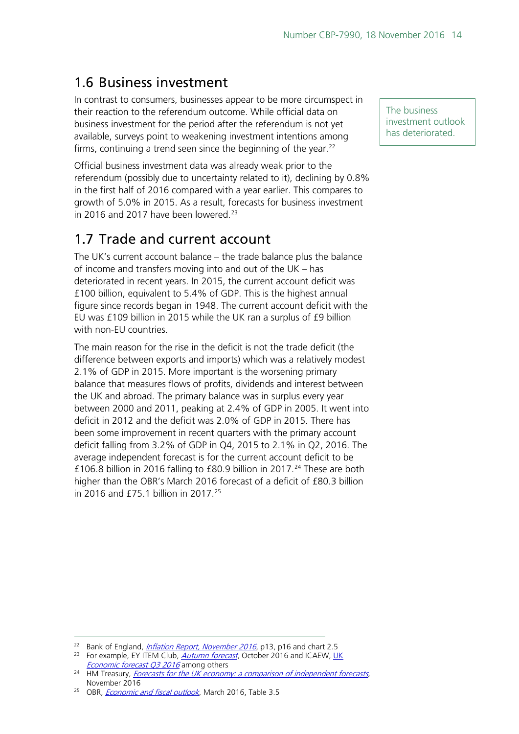# <span id="page-13-0"></span>1.6 Business investment

In contrast to consumers, businesses appear to be more circumspect in their reaction to the referendum outcome. While official data on business investment for the period after the referendum is not yet available, surveys point to weakening investment intentions among firms, continuing a trend seen since the beginning of the year.<sup>22</sup>

Official business investment data was already weak prior to the referendum (possibly due to uncertainty related to it), declining by 0.8% in the first half of 2016 compared with a year earlier. This compares to growth of 5.0% in 2015. As a result, forecasts for business investment in 2016 and 2017 have been lowered.<sup>[23](#page-13-3)</sup>

# <span id="page-13-1"></span>1.7 Trade and current account

The UK's current account balance – the trade balance plus the balance of income and transfers moving into and out of the UK – has deteriorated in recent years. In 2015, the current account deficit was £100 billion, equivalent to 5.4% of GDP. This is the highest annual figure since records began in 1948. The current account deficit with the EU was £109 billion in 2015 while the UK ran a surplus of £9 billion with non-EU countries.

The main reason for the rise in the deficit is not the trade deficit (the difference between exports and imports) which was a relatively modest 2.1% of GDP in 2015. More important is the worsening primary balance that measures flows of profits, dividends and interest between the UK and abroad. The primary balance was in surplus every year between 2000 and 2011, peaking at 2.4% of GDP in 2005. It went into deficit in 2012 and the deficit was 2.0% of GDP in 2015. There has been some improvement in recent quarters with the primary account deficit falling from 3.2% of GDP in Q4, 2015 to 2.1% in Q2, 2016. The average independent forecast is for the current account deficit to be £106.8 billion in 2016 falling to £80.9 billion in 2017.<sup>[24](#page-13-4)</sup> These are both higher than the OBR's March 2016 forecast of a deficit of £80.3 billion in 2016 and £75.1 billion in 2017.<sup>[25](#page-13-5)</sup>

The business investment outlook has deteriorated.

<span id="page-13-2"></span><sup>&</sup>lt;sup>22</sup> Bank of England, *Inflation [Report, November 2016](http://www.bankofengland.co.uk/publications/Pages/inflationreport/2016/nov.aspx)*, p13, p16 and chart 2.5

<span id="page-13-3"></span><sup>&</sup>lt;sup>23</sup> For example, EY ITEM Club, *[Autumn forecast](http://www.ey.com/Publication/vwLUAssets/EY-ITEM-Club-Autumn-forecast-2016/$FILE/EY-ITEM-Club-Autumn-Forecast-2016.pdf)*, October 2016 and ICAEW, UK [Economic forecast Q3 2016](http://www.icaew.com/-/media/corporate/files/about-icaew/what-we-do/economic-insight/2016/uk/q3-2016/icaew-uk-forecast-q3-2016-web.ashx) among others

<span id="page-13-4"></span><sup>&</sup>lt;sup>24</sup> HM Treasury, *Forecasts for the UK economy: a comparison of independent forecasts*, November 2016

<span id="page-13-5"></span><sup>&</sup>lt;sup>25</sup> OBR, *[Economic and fiscal outlook](http://cdn.budgetresponsibility.org.uk/March2016EFO.pdf)*, March 2016, Table 3.5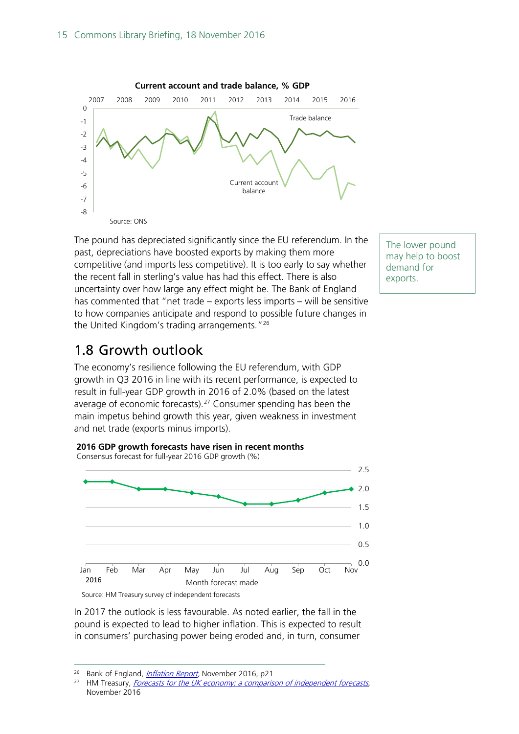

The pound has depreciated significantly since the EU referendum. In the past, depreciations have boosted exports by making them more competitive (and imports less competitive). It is too early to say whether the recent fall in sterling's value has had this effect. There is also uncertainty over how large any effect might be. The Bank of England has commented that "net trade – exports less imports – will be sensitive to how companies anticipate and respond to possible future changes in the United Kingdom's trading arrangements."[26](#page-14-1)

# <span id="page-14-0"></span>1.8 Growth outlook

The economy's resilience following the EU referendum, with GDP growth in Q3 2016 in line with its recent performance, is expected to result in full-year GDP growth in 2016 of 2.0% (based on the latest average of economic forecasts).[27](#page-14-2) Consumer spending has been the main impetus behind growth this year, given weakness in investment and net trade (exports minus imports).



**2016 GDP growth forecasts have risen in recent months** Consensus forecast for full-year 2016 GDP growth (%)

Source: HM Treasury survey of independent forecasts

In 2017 the outlook is less favourable. As noted earlier, the fall in the pound is expected to lead to higher inflation. This is expected to result in consumers' purchasing power being eroded and, in turn, consumer

The lower pound may help to boost demand for exports.

<span id="page-14-2"></span><span id="page-14-1"></span><sup>&</sup>lt;sup>26</sup> Bank of England, *Inflation Report*, November 2016, p21<br><sup>27</sup> HM Tropsun*t, Forecasts for the UK economy: a comparise* 

HM Treasury, Forecasts for the UK economy: a comparison of independent forecasts, November 2016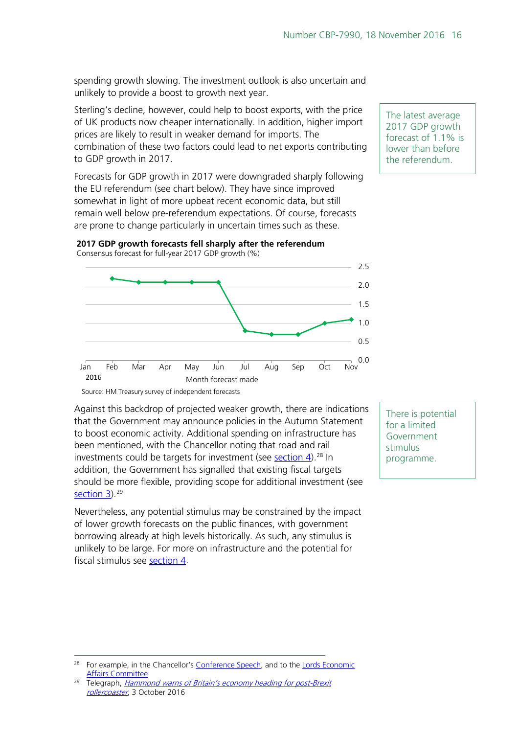spending growth slowing. The investment outlook is also uncertain and unlikely to provide a boost to growth next year.

Sterling's decline, however, could help to boost exports, with the price of UK products now cheaper internationally. In addition, higher import prices are likely to result in weaker demand for imports. The combination of these two factors could lead to net exports contributing to GDP growth in 2017.

Forecasts for GDP growth in 2017 were downgraded sharply following the EU referendum (see chart below). They have since improved somewhat in light of more upbeat recent economic data, but still remain well below pre-referendum expectations. Of course, forecasts are prone to change particularly in uncertain times such as these.



**2017 GDP growth forecasts fell sharply after the referendum** Consensus forecast for full-year 2017 GDP growth (%)

Source: HM Treasury survey of independent forecasts

Against this backdrop of projected weaker growth, there are indications that the Government may announce policies in the Autumn Statement to boost economic activity. Additional spending on infrastructure has been mentioned, with the Chancellor noting that road and rail investments could be targets for investment (see [section 4\)](#page-29-0).<sup>[28](#page-15-0)</sup> In addition, the Government has signalled that existing fiscal targets should be more flexible, providing scope for additional investment (see [section 3\)](#page-25-0). [29](#page-15-1)

Nevertheless, any potential stimulus may be constrained by the impact of lower growth forecasts on the public finances, with government borrowing already at high levels historically. As such, any stimulus is unlikely to be large. For more on infrastructure and the potential for fiscal stimulus see [section 4.](#page-29-0)

The latest average 2017 GDP growth forecast of 1.1% is lower than before the referendum.

There is potential for a limited Government stimulus programme.

<span id="page-15-0"></span><sup>&</sup>lt;sup>28</sup> For example, in the Chancellor's [Conference Speech,](http://press.conservatives.com/post/151284663940/hammond-an-economy-that-works-for-everyone) and to the Lords Economic [Affairs Committee](http://data.parliament.uk/writtenevidence/committeeevidence.svc/evidencedocument/economic-affairs-committee/chancellor-of-the-exchequer/oral/37979.html)

<span id="page-15-1"></span><sup>&</sup>lt;sup>29</sup> Telegraph, *Hammond warns of Britain's economy heading for post-Brexit* [rollercoaster](http://www.telegraph.co.uk/news/2016/10/03/philip-hammond-budget-surplus-conservative-conference-live/), 3 October 2016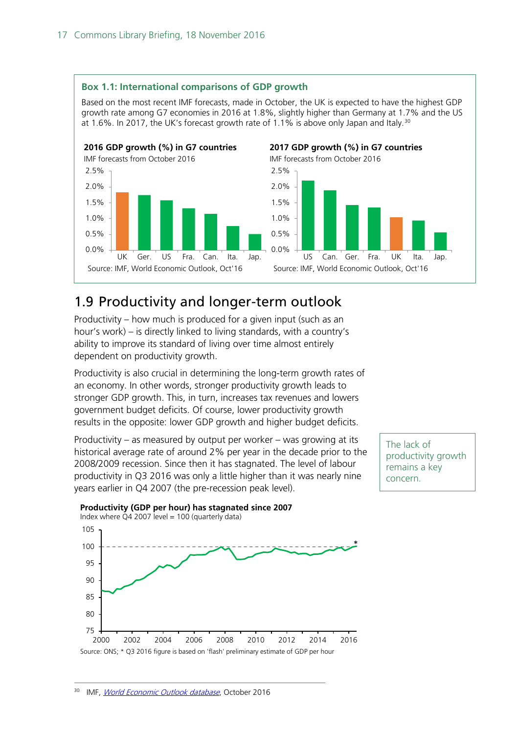**Box 1.1: International comparisons of GDP growth**



# <span id="page-16-0"></span>1.9 Productivity and longer-term outlook

Productivity – how much is produced for a given input (such as an hour's work) – is directly linked to living standards, with a country's ability to improve its standard of living over time almost entirely dependent on productivity growth.

Productivity is also crucial in determining the long-term growth rates of an economy. In other words, stronger productivity growth leads to stronger GDP growth. This, in turn, increases tax revenues and lowers government budget deficits. Of course, lower productivity growth results in the opposite: lower GDP growth and higher budget deficits.

Productivity – as measured by output per worker – was growing at its historical average rate of around 2% per year in the decade prior to the 2008/2009 recession. Since then it has stagnated. The level of labour productivity in Q3 2016 was only a little higher than it was nearly nine years earlier in Q4 2007 (the pre-recession peak level).

The lack of productivity growth remains a key concern.

<span id="page-16-1"></span>

## **Productivity (GDP per hour) has stagnated since 2007**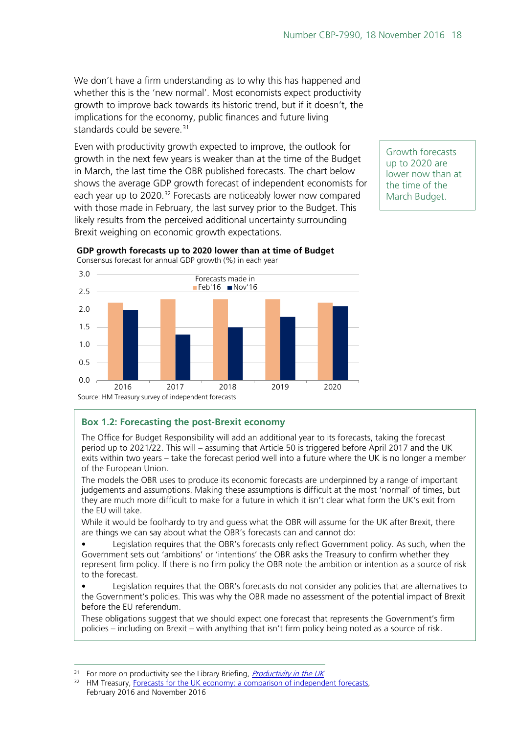We don't have a firm understanding as to why this has happened and whether this is the 'new normal'. Most economists expect productivity growth to improve back towards its historic trend, but if it doesn't, the implications for the economy, public finances and future living standards could be severe.<sup>[31](#page-17-0)</sup>

Even with productivity growth expected to improve, the outlook for growth in the next few years is weaker than at the time of the Budget in March, the last time the OBR published forecasts. The chart below shows the average GDP growth forecast of independent economists for each year up to 2020.<sup>[32](#page-17-1)</sup> Forecasts are noticeably lower now compared with those made in February, the last survey prior to the Budget. This likely results from the perceived additional uncertainty surrounding Brexit weighing on economic growth expectations.

Growth forecasts up to 2020 are lower now than at the time of the March Budget.



**GDP growth forecasts up to 2020 lower than at time of Budget**

## **Box 1.2: Forecasting the post-Brexit economy**

The Office for Budget Responsibility will add an additional year to its forecasts, taking the forecast period up to 2021/22. This will – assuming that Article 50 is triggered before April 2017 and the UK exits within two years – take the forecast period well into a future where the UK is no longer a member of the European Union.

The models the OBR uses to produce its economic forecasts are underpinned by a range of important judgements and assumptions. Making these assumptions is difficult at the most 'normal' of times, but they are much more difficult to make for a future in which it isn't clear what form the UK's exit from the EU will take.

While it would be foolhardy to try and guess what the OBR will assume for the UK after Brexit, there are things we can say about what the OBR's forecasts can and cannot do:

• Legislation requires that the OBR's forecasts only reflect Government policy. As such, when the Government sets out 'ambitions' or 'intentions' the OBR asks the Treasury to confirm whether they represent firm policy. If there is no firm policy the OBR note the ambition or intention as a source of risk to the forecast.

Legislation requires that the OBR's forecasts do not consider any policies that are alternatives to the Government's policies. This was why the OBR made no assessment of the potential impact of Brexit before the EU referendum.

These obligations suggest that we should expect one forecast that represents the Government's firm policies – including on Brexit – with anything that isn't firm policy being noted as a source of risk.

<span id="page-17-0"></span> $31$  For more on productivity see the Library Briefing, *[Productivity in the UK](http://researchbriefings.parliament.uk/ResearchBriefing/Summary/SN06492)* 

<span id="page-17-1"></span><sup>&</sup>lt;sup>32</sup> HM Treasury, Forecasts for the UK economy: a comparison of independent forecasts, February 2016 and November 2016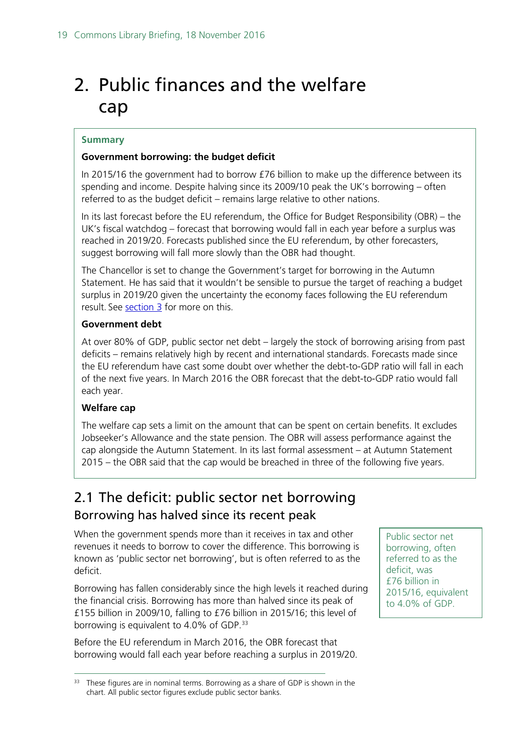# <span id="page-18-0"></span>2. Public finances and the welfare cap

### **Summary**

## **Government borrowing: the budget deficit**

In 2015/16 the government had to borrow £76 billion to make up the difference between its spending and income. Despite halving since its 2009/10 peak the UK's borrowing – often referred to as the budget deficit – remains large relative to other nations.

In its last forecast before the EU referendum, the Office for Budget Responsibility (OBR) – the UK's fiscal watchdog – forecast that borrowing would fall in each year before a surplus was reached in 2019/20. Forecasts published since the EU referendum, by other forecasters, suggest borrowing will fall more slowly than the OBR had thought.

The Chancellor is set to change the Government's target for borrowing in the Autumn Statement. He has said that it wouldn't be sensible to pursue the target of reaching a budget surplus in 2019/20 given the uncertainty the economy faces following the EU referendum result. See [section 3](#page-25-0) for more on this.

## **Government debt**

At over 80% of GDP, public sector net debt – largely the stock of borrowing arising from past deficits – remains relatively high by recent and international standards. Forecasts made since the EU referendum have cast some doubt over whether the debt-to-GDP ratio will fall in each of the next five years. In March 2016 the OBR forecast that the debt-to-GDP ratio would fall each year.

## **Welfare cap**

The welfare cap sets a limit on the amount that can be spent on certain benefits. It excludes Jobseeker's Allowance and the state pension. The OBR will assess performance against the cap alongside the Autumn Statement. In its last formal assessment – at Autumn Statement 2015 – the OBR said that the cap would be breached in three of the following five years.

# <span id="page-18-1"></span>2.1 The deficit: public sector net borrowing Borrowing has halved since its recent peak

When the government spends more than it receives in tax and other revenues it needs to borrow to cover the difference. This borrowing is known as 'public sector net borrowing', but is often referred to as the deficit.

Borrowing has fallen considerably since the high levels it reached during the financial crisis. Borrowing has more than halved since its peak of £155 billion in 2009/10, falling to £76 billion in 2015/16; this level of borrowing is equivalent to 4.0% of GDP.<sup>[33](#page-18-2)</sup>

Before the EU referendum in March 2016, the OBR forecast that borrowing would fall each year before reaching a surplus in 2019/20. Public sector net borrowing, often referred to as the deficit, was £76 billion in 2015/16, equivalent to 4.0% of GDP.

<span id="page-18-2"></span><sup>&</sup>lt;sup>33</sup> These figures are in nominal terms. Borrowing as a share of GDP is shown in the chart. All public sector figures exclude public sector banks.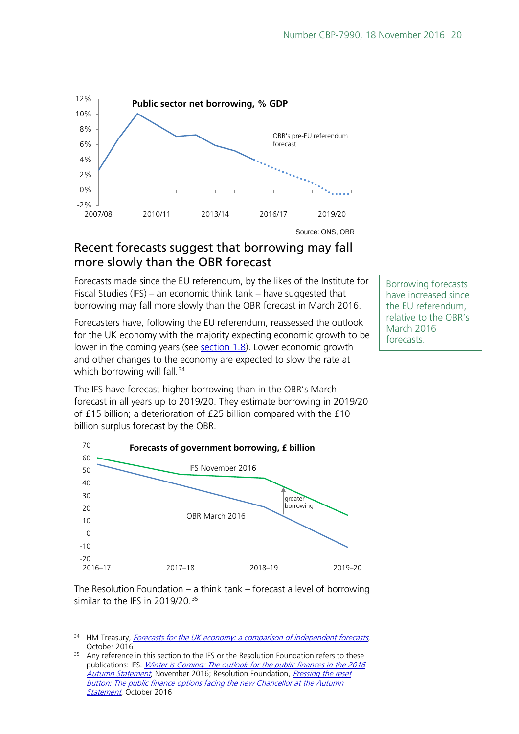

# Recent forecasts suggest that borrowing may fall more slowly than the OBR forecast

Forecasts made since the EU referendum, by the likes of the Institute for Fiscal Studies (IFS) – an economic think tank – have suggested that borrowing may fall more slowly than the OBR forecast in March 2016.

Forecasters have, following the EU referendum, reassessed the outlook for the UK economy with the majority expecting economic growth to be lower in the coming years (see **section 1.8**). Lower economic growth and other changes to the economy are expected to slow the rate at which borrowing will fall.<sup>[34](#page-19-0)</sup>

Borrowing forecasts have increased since the EU referendum, relative to the OBR's March 2016 forecasts.

The IFS have forecast higher borrowing than in the OBR's March forecast in all years up to 2019/20. They estimate borrowing in 2019/20 of £15 billion; a deterioration of £25 billion compared with the £10 billion surplus forecast by the OBR.



The Resolution Foundation – a think tank – forecast a level of borrowing similar to the IFS in 2019/20. [35](#page-19-1)

<span id="page-19-0"></span><sup>&</sup>lt;sup>34</sup> HM Treasury, *[Forecasts for the UK economy: a comparison of independent forecasts](https://www.gov.uk/government/uploads/system/uploads/attachment_data/file/561139/PU797_Forecast_for_the_UK_Economy_Oct_2016_covers.pdf)*, October 2016

<span id="page-19-1"></span><sup>&</sup>lt;sup>35</sup> Any reference in this section to the IFS or the Resolution Foundation refers to these publications: IFS. *Winter is Coming: The outlook for the public finances in the 2016* [Autumn Statement](https://www.ifs.org.uk/uploads/publications/bns/BN188.pdf), November 2016; Resolution Foundation, *Pressing the reset* button: The public finance options facing the new Chancellor at the Autumn [Statement](http://www.resolutionfoundation.org/wp-content/uploads/2016/10/Pressing-the-reset-button.pdf#page=8), October 2016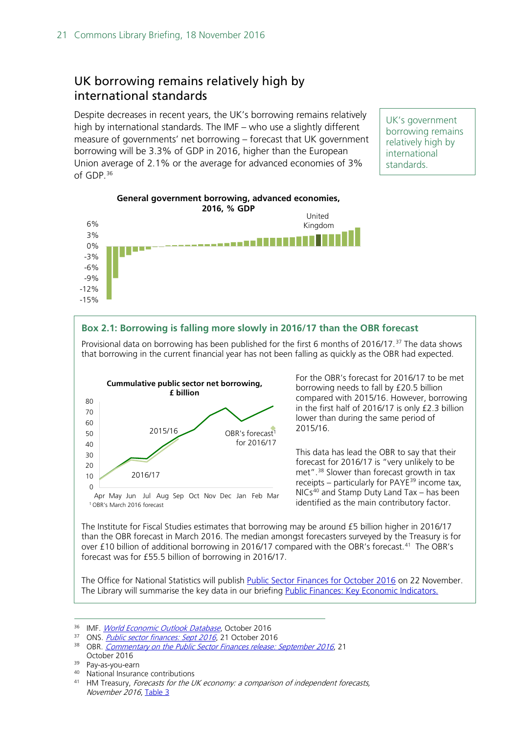# UK borrowing remains relatively high by international standards

Despite decreases in recent years, the UK's borrowing remains relatively high by international standards. The IMF – who use a slightly different measure of governments' net borrowing – forecast that UK government borrowing will be 3.3% of GDP in 2016, higher than the European Union average of 2.1% or the average for advanced economies of 3% of GDP.[36](#page-20-0)

UK's government borrowing remains relatively high by international standards.



### **Box 2.1: Borrowing is falling more slowly in 2016/17 than the OBR forecast**

Provisional data on borrowing has been published for the first 6 months of 2016/17.<sup>[37](#page-20-1)</sup> The data shows that borrowing in the current financial year has not been falling as quickly as the OBR had expected.



For the OBR's forecast for 2016/17 to be met borrowing needs to fall by £20.5 billion compared with 2015/16. However, borrowing in the first half of 2016/17 is only £2.3 billion lower than during the same period of 2015/16.

This data has lead the OBR to say that their forecast for 2016/17 is "very unlikely to be met".[38](#page-20-2) Slower than forecast growth in tax receipts – particularly for PAYE $^{39}$  $^{39}$  $^{39}$  income tax,  $NICs<sup>40</sup>$  $NICs<sup>40</sup>$  $NICs<sup>40</sup>$  and Stamp Duty Land Tax – has been identified as the main contributory factor.

The Institute for Fiscal Studies estimates that borrowing may be around £5 billion higher in 2016/17 than the OBR forecast in March 2016. The median amongst forecasters surveyed by the Treasury is for over £10 billion of additional borrowing in 2016/17 compared with the OBR's forecast.<sup>[41](#page-20-5)</sup> The OBR's forecast was for £55.5 billion of borrowing in 2016/17.

The Office for National Statistics will publish [Public Sector Finances for October 2016](https://www.ons.gov.uk/economy/governmentpublicsectorandtaxes/publicsectorfinance/bulletins/publicsectorfinances/previousReleases) on 22 November. The Library will summarise the key data in our briefing [Public Finances: Key Economic Indicators.](http://researchbriefings.parliament.uk/ResearchBriefing/Summary/SN02812)

- <span id="page-20-2"></span><span id="page-20-1"></span>37 ONS. *[Public sector finances: Sept 2016](https://www.ons.gov.uk/economy/governmentpublicsectorandtaxes/publicsectorfinance/bulletins/publicsectorfinances/sept2016)*, 21 October 2016
- <sup>38</sup> OBR. *[Commentary on the Public Sector Finances release: September 2016](http://budgetresponsibility.org.uk/docs/dlm_uploads/October-2016-Commentary-on-the-Public-Sector-Finances.pdf)*, 21 October 2016

<sup>40</sup> National Insurance contributions

<span id="page-20-0"></span><sup>36</sup> IMF. [World Economic Outlook Database](http://www.imf.org/external/pubs/ft/weo/2016/02/weodata/index.aspx), October 2016

<span id="page-20-3"></span><sup>39</sup> Pay-as-you-earn

<span id="page-20-5"></span><span id="page-20-4"></span><sup>41</sup> HM Treasury, Forecasts for the UK economy: a comparison of independent forecasts, November 2016, [Table 3](https://www.gov.uk/government/uploads/system/uploads/attachment_data/file/569316/PU797_Forecast_for_the_UK_Economy_Nov_2016_355.pdf#page=7)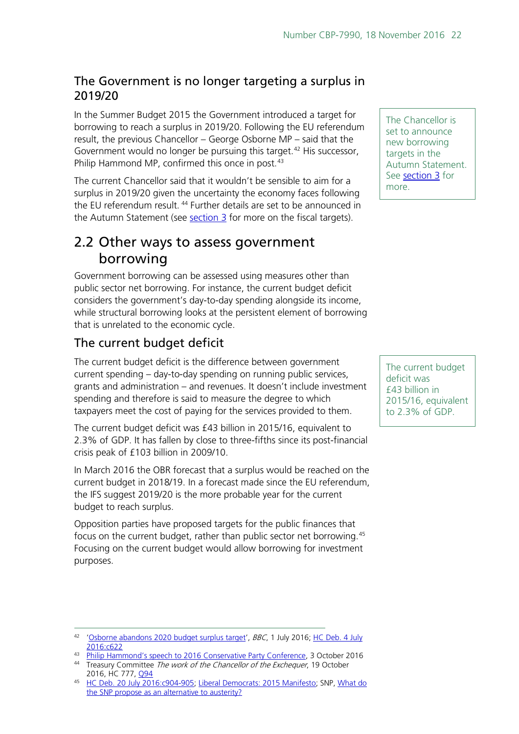# The Government is no longer targeting a surplus in 2019/20

In the Summer Budget 2015 the Government introduced a target for borrowing to reach a surplus in 2019/20. Following the EU referendum result, the previous Chancellor – George Osborne MP – said that the Government would no longer be pursuing this target.<sup>42</sup> His successor, Philip Hammond MP, confirmed this once in post. $43$ 

The current Chancellor said that it wouldn't be sensible to aim for a surplus in 2019/20 given the uncertainty the economy faces following the EU referendum result.<sup>[44](#page-21-3)</sup> Further details are set to be announced in the Autumn Statement (see [section 3](#page-25-0) for more on the fiscal targets).

# <span id="page-21-0"></span>2.2 Other ways to assess government borrowing

Government borrowing can be assessed using measures other than public sector net borrowing. For instance, the current budget deficit considers the government's day-to-day spending alongside its income, while structural borrowing looks at the persistent element of borrowing that is unrelated to the economic cycle.

# The current budget deficit

The current budget deficit is the difference between government current spending – day-to-day spending on running public services, grants and administration – and revenues. It doesn't include investment spending and therefore is said to measure the degree to which taxpayers meet the cost of paying for the services provided to them.

The current budget deficit was £43 billion in 2015/16, equivalent to 2.3% of GDP. It has fallen by close to three-fifths since its post-financial crisis peak of £103 billion in 2009/10.

In March 2016 the OBR forecast that a surplus would be reached on the current budget in 2018/19. In a forecast made since the EU referendum, the IFS suggest 2019/20 is the more probable year for the current budget to reach surplus.

Opposition parties have proposed targets for the public finances that focus on the current budget, rather than public sector net borrowing.[45](#page-21-4) Focusing on the current budget would allow borrowing for investment purposes.

The Chancellor is set to announce new borrowing targets in the Autumn Statement. See [section 3](#page-25-0) for more.

The current budget deficit was £43 billion in 2015/16, equivalent to 2.3% of GDP.

<span id="page-21-1"></span><sup>42</sup> ['Osborne abandons 2020 budget surplus target'](http://www.bbc.co.uk/news/business-36684452), BBC, 1 July 2016; HC Deb. 4 July [2016:c622](https://hansard.parliament.uk/commons/2016-07-04/debates/16070413000001/SurplusTargetAndCorporationTax)

<span id="page-21-3"></span><span id="page-21-2"></span><sup>43</sup> [Philip Hammond's speech to 2016 Conservative Party Conference,](http://press.conservatives.com/post/151284663940/hammond-an-economy-that-works-for-everyone) 3 October 2016 <sup>44</sup> Treasury Committee The work of the Chancellor of the Exchequer, 19 October 2016, HC 777, 094

<span id="page-21-4"></span><sup>45</sup> [HC Deb. 20 July 2016:c904-905;](https://hansard.parliament.uk/Commons/2016-07-20/debates/16072033000003/CharterForBudgetResponsibility#contribution-16072033000077) [Liberal Democrats: 2015 Manifesto;](http://www.libdems.org.uk/read-the-full-manifesto) SNP, [What do](http://www.snp.org/pb_what_do_the_snp_propose_as_an_alternative_to_austerity)  [the SNP propose as an alternative to austerity?](http://www.snp.org/pb_what_do_the_snp_propose_as_an_alternative_to_austerity)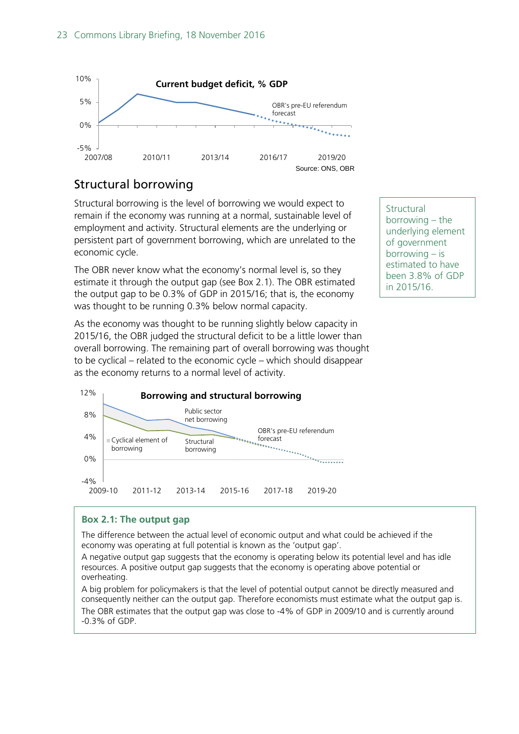

# Structural borrowing

Structural borrowing is the level of borrowing we would expect to remain if the economy was running at a normal, sustainable level of employment and activity. Structural elements are the underlying or persistent part of government borrowing, which are unrelated to the economic cycle.

The OBR never know what the economy's normal level is, so they estimate it through the output gap (see Box 2.1). The OBR estimated the output gap to be 0.3% of GDP in 2015/16; that is, the economy was thought to be running 0.3% below normal capacity.

As the economy was thought to be running slightly below capacity in 2015/16, the OBR judged the structural deficit to be a little lower than overall borrowing. The remaining part of overall borrowing was thought to be cyclical – related to the economic cycle – which should disappear as the economy returns to a normal level of activity.



## **Box 2.1: The output gap**

The difference between the actual level of economic output and what could be achieved if the economy was operating at full potential is known as the 'output gap'.

A negative output gap suggests that the economy is operating below its potential level and has idle resources. A positive output gap suggests that the economy is operating above potential or overheating.

A big problem for policymakers is that the level of potential output cannot be directly measured and consequently neither can the output gap. Therefore economists must estimate what the output gap is. The OBR estimates that the output gap was close to -4% of GDP in 2009/10 and is currently around -0.3% of GDP.

**Structural** borrowing – the underlying element of government borrowing – is estimated to have been 3.8% of GDP in 2015/16.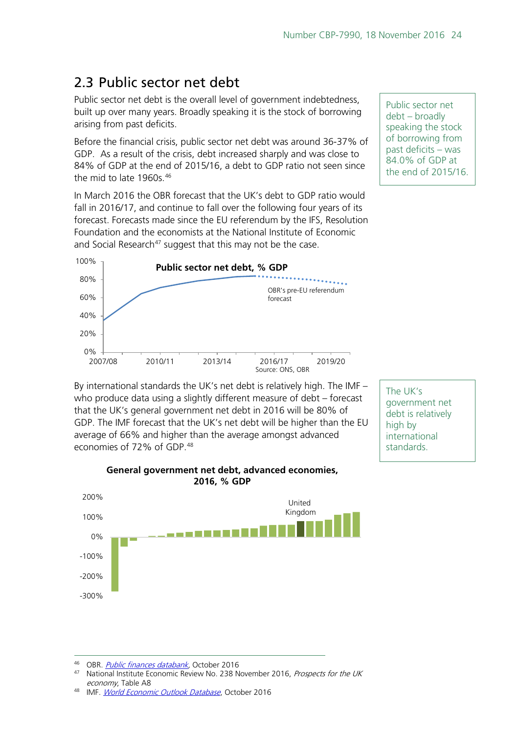# <span id="page-23-0"></span>2.3 Public sector net debt

Public sector net debt is the overall level of government indebtedness, built up over many years. Broadly speaking it is the stock of borrowing arising from past deficits.

Before the financial crisis, public sector net debt was around 36-37% of GDP. As a result of the crisis, debt increased sharply and was close to 84% of GDP at the end of 2015/16, a debt to GDP ratio not seen since the mid to late 1960s.<sup>46</sup>

In March 2016 the OBR forecast that the UK's debt to GDP ratio would fall in 2016/17, and continue to fall over the following four years of its forecast. Forecasts made since the EU referendum by the IFS, Resolution Foundation and the economists at the National Institute of Economic and Social Research<sup>[47](#page-23-2)</sup> suggest that this may not be the case.



By international standards the UK's net debt is relatively high. The IMF – who produce data using a slightly different measure of debt – forecast that the UK's general government net debt in 2016 will be 80% of GDP. The IMF forecast that the UK's net debt will be higher than the EU average of 66% and higher than the average amongst advanced economies of 72% of GDP.<sup>[48](#page-23-3)</sup>

The UK's government net debt is relatively high by international standards.



## **General government net debt, advanced economies, 2016, % GDP**

<span id="page-23-2"></span><span id="page-23-1"></span>46 OBR. *Public finances databank*, October 2016

Public sector net debt – broadly speaking the stock of borrowing from past deficits – was 84.0% of GDP at the end of 2015/16.

National Institute Economic Review No. 238 November 2016, Prospects for the UK economy, Table A8

<span id="page-23-3"></span><sup>48</sup> IMF. [World Economic Outlook Database](http://www.imf.org/external/pubs/ft/weo/2016/02/weodata/index.aspx), October 2016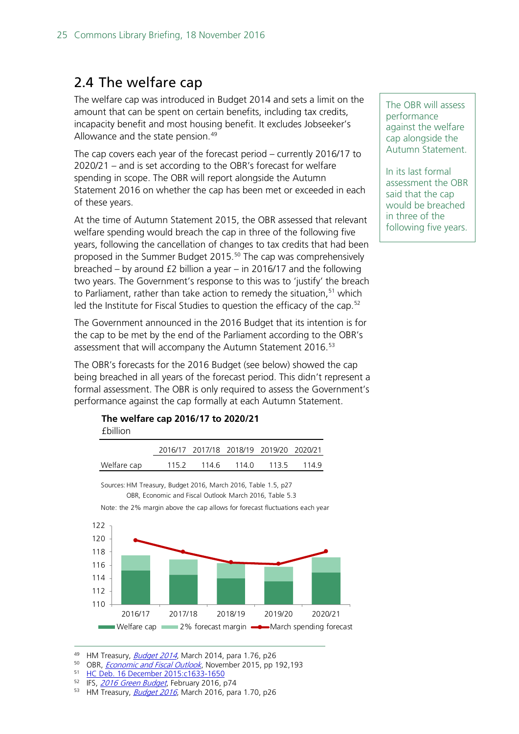# <span id="page-24-0"></span>2.4 The welfare cap

The welfare cap was introduced in [Budget 2014](https://www.gov.uk/government/uploads/system/uploads/attachment_data/file/293759/37630_Budget_2014_Web_Accessible.pdf#page=28) and sets a limit on the amount that can be spent on certain benefits, including tax credits, incapacity benefit and most housing benefit. It excludes Jobseeker's Allowance and the state pension.<sup>[49](#page-24-1)</sup>

The cap covers each year of the forecast period – currently 2016/17 to 2020/21 – and is set according to the OBR's forecast for welfare spending in scope. The OBR will report alongside the Autumn Statement 2016 on whether the cap has been met or exceeded in each of these years.

At the time of Autumn Statement 2015, the OBR assessed that relevant welfare spending would breach the cap in three of the following five years, following the cancellation of changes to tax credits that had been proposed in the Summer Budget 2015.<sup>[50](#page-24-2)</sup> The cap was comprehensively breached – by around £2 billion a year – in 2016/17 and the following two years. The Government's response to this was to 'justify' the breach to Parliament, rather than take action to remedy the situation,<sup>[51](#page-24-3)</sup> which led the Institute for Fiscal Studies to question the efficacy of the cap.<sup>52</sup>

The Government announced in the 2016 Budget that its intention is for the cap to be met by the end of the Parliament according to the OBR's assessment that will accompany the Autumn Statement 2016.<sup>[53](#page-24-5)</sup>

The OBR's forecasts for the 2016 Budget (see below) showed the cap being breached in all years of the forecast period. This didn't represent a formal assessment. The OBR is only required to assess the Government's performance against the cap formally at each Autumn Statement.

#### **The welfare cap 2016/17 to 2020/21**  £billion

|             |       |       | 2016/17 2017/18 2018/19 2019/20 2020/21 |      |       |
|-------------|-------|-------|-----------------------------------------|------|-------|
| Welfare cap | 115.2 | 114.6 | 114 O                                   | 1135 | -1149 |





The OBR will assess performance against the welfare cap alongside the Autumn Statement.

In its last formal assessment the OBR said that the cap would be breached in three of the following five years.

- <span id="page-24-2"></span><sup>50</sup> OBR, *[Economic and Fiscal Outlook](http://cdn.budgetresponsibility.independent.gov.uk/EFO_November__2015.pdf#page=197.)*, November 2015, pp 192,193
- <span id="page-24-3"></span><sup>51</sup> [HC Deb. 16 December 2015:c1633-1650](http://www.publications.parliament.uk/pa/cm201516/cmhansrd/cm151216/debtext/151216-0003.htm#15121632000002)
- <span id="page-24-4"></span><sup>52</sup> IFS, **[2016 Green Budget](http://www.ifs.org.uk/uploads/gb/gb2016/gb2016.pdf)**, February 2016, p74

<span id="page-24-1"></span><sup>49</sup> HM Treasury, *[Budget 2014](https://www.gov.uk/government/uploads/system/uploads/attachment_data/file/293759/37630_Budget_2014_Web_Accessible.pdf#page=28)*, March 2014, para 1.76, p26

<span id="page-24-5"></span><sup>53</sup> HM Treasury, *[Budget 2016](https://www.gov.uk/government/uploads/system/uploads/attachment_data/file/508193/HMT_Budget_2016_Web_Accessible.pdf)*, March 2016, para 1.70, p26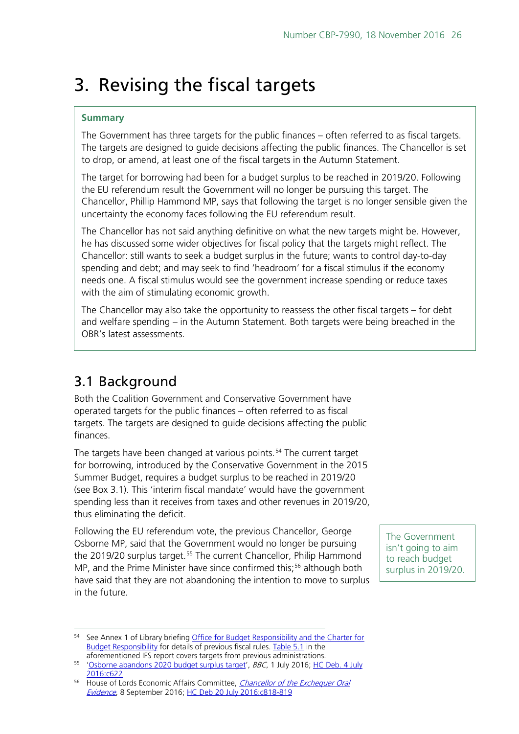# <span id="page-25-0"></span>3. Revising the fiscal targets

## **Summary**

The Government has three targets for the public finances – often referred to as fiscal targets. The targets are designed to guide decisions affecting the public finances. The Chancellor is set to drop, or amend, at least one of the fiscal targets in the Autumn Statement.

The target for borrowing had been for a budget surplus to be reached in 2019/20. Following the EU referendum result the Government will no longer be pursuing this target. The Chancellor, Phillip Hammond MP, says that following the target is no longer sensible given the uncertainty the economy faces following the EU referendum result.

The Chancellor has not said anything definitive on what the new targets might be. However, he has discussed some wider objectives for fiscal policy that the targets might reflect. The Chancellor: still wants to seek a budget surplus in the future; wants to control day-to-day spending and debt; and may seek to find 'headroom' for a fiscal stimulus if the economy needs one. A fiscal stimulus would see the government increase spending or reduce taxes with the aim of stimulating economic growth.

The Chancellor may also take the opportunity to reassess the other fiscal targets – for debt and welfare spending – in the Autumn Statement. Both targets were being breached in the OBR's latest assessments.

# <span id="page-25-1"></span>3.1 Background

Both the Coalition Government and Conservative Government have operated targets for the public finances – often referred to as fiscal targets. The targets are designed to guide decisions affecting the public finances.

The targets have been changed at various points.<sup>[54](#page-25-2)</sup> The current target for borrowing, introduced by the Conservative Government in the 2015 Summer Budget, requires a budget surplus to be reached in 2019/20 (see Box 3.1). This 'interim fiscal mandate' would have the government spending less than it receives from taxes and other revenues in 2019/20, thus eliminating the deficit.

Following the EU referendum vote, the previous Chancellor, George Osborne MP, said that the Government would no longer be pursuing the 2019/20 surplus target.<sup>[55](#page-25-3)</sup> The current Chancellor, Philip Hammond MP, and the Prime Minister have since confirmed this;<sup>[56](#page-25-4)</sup> although both have said that they are not abandoning the intention to move to surplus in the future.

The Government isn't going to aim to reach budget surplus in 2019/20.

<span id="page-25-2"></span><sup>&</sup>lt;sup>54</sup> See Annex 1 of Library briefing Office for Budget Responsibility and the Charter for [Budget Responsibility](http://researchbriefings.parliament.uk/ResearchBriefing/Summary/SN05657) for details of previous fiscal rules. [Table 5.1](https://www.ifs.org.uk/uploads/publications/bns/BN188.pdf#page=47) in the aforementioned IFS report covers targets from previous administrations.

<span id="page-25-3"></span><sup>55</sup> ['Osborne abandons 2020 budget surplus target'](http://www.bbc.co.uk/news/business-36684452), BBC, 1 July 2016; HC Deb. 4 July [2016:c622](https://hansard.parliament.uk/commons/2016-07-04/debates/16070413000001/SurplusTargetAndCorporationTax)

<span id="page-25-4"></span><sup>&</sup>lt;sup>56</sup> House of Lords Economic Affairs Committee, *Chancellor of the Exchequer Oral* [Evidence](http://data.parliament.uk/writtenevidence/committeeevidence.svc/evidencedocument/economic-affairs-committee/chancellor-of-the-exchequer/oral/37979.html), 8 September 2016; [HC Deb 20 July 2016:c818-819](https://hansard.parliament.uk/Commons/2016-07-20/debates/16072025000019/Engagements#contribution-16072025000119)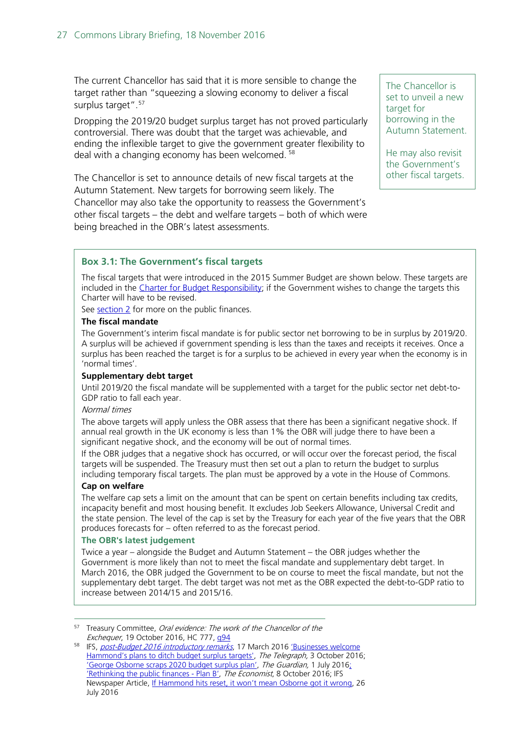The current Chancellor has said that it is more sensible to change the target rather than "squeezing a slowing economy to deliver a fiscal surplus target".<sup>[57](#page-26-0)</sup>

Dropping the 2019/20 budget surplus target has not proved particularly controversial. There was doubt that the target was achievable, and ending the inflexible target to give the government greater flexibility to deal with a changing economy has been welcomed.<sup>[58](#page-26-1)</sup>

The Chancellor is set to announce details of new fiscal targets at the Autumn Statement. New targets for borrowing seem likely. The Chancellor may also take the opportunity to reassess the Government's other fiscal targets – the debt and welfare targets – both of which were being breached in the OBR's latest assessments.

The Chancellor is set to unveil a new target for borrowing in the Autumn Statement.

He may also revisit the Government's other fiscal targets.

### **Box 3.1: The Government's fiscal targets**

The fiscal targets that were introduced in the 2015 Summer Budget are shown below. These targets are included in the [Charter for Budget](http://budgetresponsibility.org.uk/download/charter-for-budget-responsibility-2/) Responsibility; if the Government wishes to change the targets this Charter will have to be revised.

See [section 2](#page-18-0) for more on the public finances.

#### **The fiscal mandate**

The Government's interim fiscal mandate is for public sector net borrowing to be in surplus by 2019/20. A surplus will be achieved if government spending is less than the taxes and receipts it receives. Once a surplus has been reached the target is for a surplus to be achieved in every year when the economy is in 'normal times'.

#### **Supplementary debt target**

Until 2019/20 the fiscal mandate will be supplemented with a target for the public sector net debt-to-GDP ratio to fall each year.

#### Normal times

The above targets will apply unless the OBR assess that there has been a significant negative shock. If annual real growth in the UK economy is less than 1% the OBR will judge there to have been a significant negative shock, and the economy will be out of normal times.

If the OBR judges that a negative shock has occurred, or will occur over the forecast period, the fiscal targets will be suspended. The Treasury must then set out a plan to return the budget to surplus including temporary fiscal targets. The plan must be approved by a vote in the House of Commons.

#### **Cap on welfare**

The welfare cap sets a limit on the amount that can be spent on certain benefits including tax credits, incapacity benefit and most housing benefit. It excludes Job Seekers Allowance, Universal Credit and the state pension. The level of the cap is set by the Treasury for each year of the five years that the OBR produces forecasts for – often referred to as the forecast period.

#### **The OBR's latest judgement**

Twice a year – alongside the Budget and Autumn Statement – the OBR judges whether the Government is more likely than not to meet the fiscal mandate and supplementary debt target. In March 2016, the OBR judged the Government to be on course to meet the fiscal mandate, but not the supplementary debt target. The debt target was not met as the OBR expected the debt-to-GDP ratio to increase between 2014/15 and 2015/16.

<span id="page-26-0"></span><sup>57</sup> Treasury Committee, Oral evidence: The work of the Chancellor of the Exchequer, 19 October 2016, HC 777, [q94](http://bit.ly/2fD809D)

<span id="page-26-1"></span><sup>58</sup> IFS, [post-Budget 2016 introductory remarks](https://www.ifs.org.uk/uploads/budgets/budget2016/budget2016_pj.pdf), 17 March 2016 'Businesses welcome [Hammond's plans to ditch budget surplus targets',](http://www.telegraph.co.uk/business/2016/10/03/businesses-welcome-hammonds-plans-to-ditch-budget-surplus-target/) The Telegraph, 3 October 2016; ['George Osborne scraps 2020 budget surplus plan',](https://www.theguardian.com/business/2016/jul/01/george-osborne-scraps-2020-budget-surplus-plan) The Guardian, 1 July 2016; ['Rethinking the public finances -](http://www.economist.com/news/britain/21708282-chancellor-charts-new-fiscal-course-bumpy-brexit-years-plan-b) Plan B', The Economist, 8 October 2016; IFS Newspaper Article, [If Hammond hits reset, it won't mean Osborne got it wrong,](https://www.ifs.org.uk/publications/8391) 26 July 2016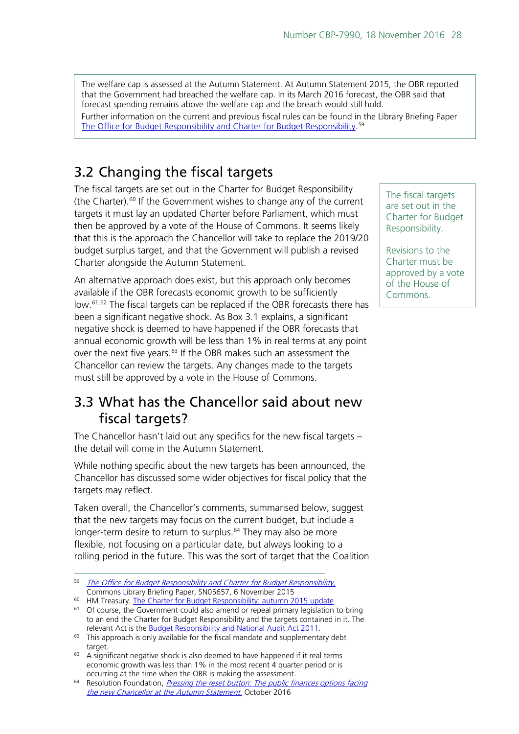The welfare cap is assessed at the Autumn Statement. At Autumn Statement 2015, the OBR reported that the Government had breached the welfare cap. In its March 2016 forecast, the OBR said that forecast spending remains above the welfare cap and the breach would still hold. Further information on the current and previous fiscal rules can be found in the Library Briefing Paper [The Office for Budget Responsibility and Charter for Budget Responsibility.](http://researchbriefings.parliament.uk/ResearchBriefing/Summary/SN05657) [59](#page-27-2)

# <span id="page-27-0"></span>3.2 Changing the fiscal targets

The fiscal targets are set out in the Charter for Budget Responsibility (the Charter). [60](#page-27-3) If the Government wishes to change any of the current targets it must lay an updated Charter before Parliament, which must then be approved by a vote of the House of Commons. It seems likely that this is the approach the Chancellor will take to replace the 2019/20 budget surplus target, and that the Government will publish a revised Charter alongside the Autumn Statement.

An alternative approach does exist, but this approach only becomes available if the OBR forecasts economic growth to be sufficiently low.[61,](#page-27-4)[62](#page-27-5) The fiscal targets can be replaced if the OBR forecasts there has been a significant negative shock. As Box 3.1 explains, a significant negative shock is deemed to have happened if the OBR forecasts that annual economic growth will be less than 1% in real terms at any point over the next five years.<sup>[63](#page-27-6)</sup> If the OBR makes such an assessment the Chancellor can review the targets. Any changes made to the targets must still be approved by a vote in the House of Commons.

# <span id="page-27-1"></span>3.3 What has the Chancellor said about new fiscal targets?

The Chancellor hasn't laid out any specifics for the new fiscal targets – the detail will come in the Autumn Statement.

While nothing specific about the new targets has been announced, the Chancellor has discussed some wider objectives for fiscal policy that the targets may reflect.

Taken overall, the Chancellor's comments, summarised below, suggest that the new targets may focus on the current budget, but include a longer-term desire to return to surplus.<sup>[64](#page-27-7)</sup> They may also be more flexible, not focusing on a particular date, but always looking to a rolling period in the future. This was the sort of target that the Coalition

<sup>60</sup> HM Treasury. [The Charter for Budget Responsibility: autumn 2015 update](http://budgetresponsibility.org.uk/docs/dlm_uploads/OBR_charter_final_web_Oct_2015.pdf)

The fiscal targets are set out in the Charter for Budget Responsibility.

Revisions to the Charter must be approved by a vote of the House of Commons.

<span id="page-27-2"></span><sup>&</sup>lt;sup>59</sup> [The Office for Budget Responsibility and Charter for Budget Responsibility](http://researchbriefings.parliament.uk/ResearchBriefing/Summary/SN05657), Commons Library Briefing Paper, SN05657, 6 November 2015

<span id="page-27-4"></span><span id="page-27-3"></span><sup>&</sup>lt;sup>61</sup> Of course, the Government could also amend or repeal primary legislation to bring to an end the Charter for Budget Responsibility and the targets contained in it. The relevant Act is th[e Budget Responsibility and National Audit Act 2011.](http://www.legislation.gov.uk/ukpga/2011/4/contents/enacted)

<span id="page-27-5"></span> $62$  This approach is only available for the fiscal mandate and supplementary debt target.

<span id="page-27-6"></span> $63$  A significant negative shock is also deemed to have happened if it real terms economic growth was less than 1% in the most recent 4 quarter period or is occurring at the time when the OBR is making the assessment.

<span id="page-27-7"></span><sup>&</sup>lt;sup>64</sup> Resolution Foundation, *Pressing the reset button: The public finances options facing* [the new Chancellor at the Autumn Statement](http://www.resolutionfoundation.org/publications/pressing-the-reset-button-the-public-finance-options-facing-the-new-chancellor-at-the-autumn-statement/), October 2016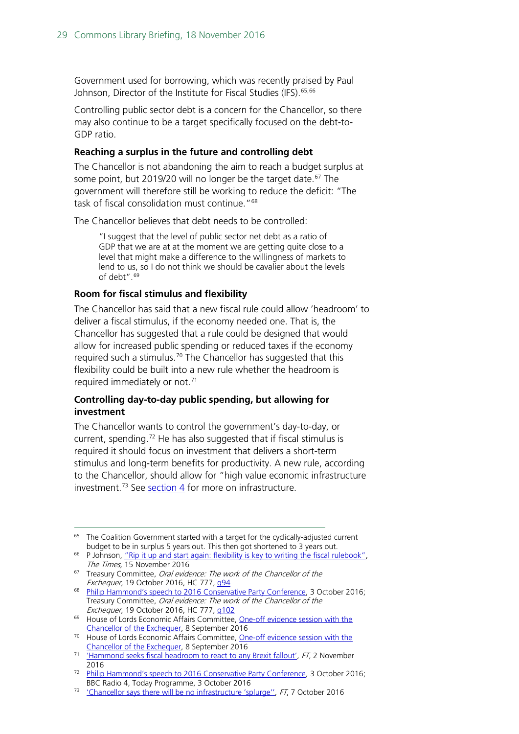Government used for borrowing, which was recently praised by Paul Johnson, Director of the Institute for Fiscal Studies (IFS). [65,](#page-28-0)[66](#page-28-1)

Controlling public sector debt is a concern for the Chancellor, so there may also continue to be a target specifically focused on the debt-to-GDP ratio.

### **Reaching a surplus in the future and controlling debt**

The Chancellor is not abandoning the aim to reach a budget surplus at some point, but 2019/20 will no longer be the target date. [67](#page-28-2) The government will therefore still be working to reduce the deficit: "The task of fiscal consolidation must continue."<sup>68</sup>

The Chancellor believes that debt needs to be controlled:

"I suggest that the level of public sector net debt as a ratio of GDP that we are at at the moment we are getting quite close to a level that might make a difference to the willingness of markets to lend to us, so I do not think we should be cavalier about the levels of debt".[69](#page-28-4)

#### **Room for fiscal stimulus and flexibility**

The Chancellor has said that a new fiscal rule could allow 'headroom' to deliver a fiscal stimulus, if the economy needed one. That is, the Chancellor has suggested that a rule could be designed that would allow for increased public spending or reduced taxes if the economy required such a stimulus.<sup>[70](#page-28-5)</sup> The Chancellor has suggested that this flexibility could be built into a new rule whether the headroom is required immediately or not. [71](#page-28-6)

## **Controlling day-to-day public spending, but allowing for investment**

The Chancellor wants to control the government's day-to-day, or current, spending.<sup>[72](#page-28-7)</sup> He has also suggested that if fiscal stimulus is required it should focus on investment that delivers a short-term stimulus and long-term benefits for productivity. A new rule, according to the Chancellor, should allow for "high value economic infrastructure investment.[73](#page-28-8) See [section 4](#page-29-0) for more on infrastructure.

- <span id="page-28-5"></span><sup>70</sup> House of Lords Economic Affairs Committee, One-off evidence session with the [Chancellor of the Exchequer,](http://data.parliament.uk/writtenevidence/committeeevidence.svc/evidencedocument/economic-affairs-committee/chancellor-of-the-exchequer/oral/37979.pdf) 8 September 2016
- <span id="page-28-6"></span><sup>71</sup> ['Hammond seeks fiscal headroom to react to any Brexit fallout'](https://www.ft.com/content/fd27be6a-a04c-11e6-86d5-4e36b35c3550), FT, 2 November 2016

<span id="page-28-0"></span> $65$  The Coalition Government started with a target for the cyclically-adjusted current budget to be in surplus 5 years out. This then got shortened to 3 years out.

<span id="page-28-1"></span> $66$  P Johnson, "Rip it up and start again: flexibility is key to writing the fiscal rulebook". The Times, 15 November 2016

<span id="page-28-2"></span><sup>&</sup>lt;sup>67</sup> Treasury Committee, Oral evidence: The work of the Chancellor of the Exchequer, 19 October 2016, HC 777, g94

<span id="page-28-3"></span><sup>&</sup>lt;sup>68</sup> [Philip Hammond's speech to 2016 Conservative Party Conference,](http://press.conservatives.com/post/151284663940/hammond-an-economy-that-works-for-everyone) 3 October 2016; Treasury Committee, Oral evidence: The work of the Chancellor of the Exchequer, 19 October 2016, HC 777, [q102](http://bit.ly/2fD8751)

<span id="page-28-4"></span><sup>&</sup>lt;sup>69</sup> House of Lords Economic Affairs Committee, One-off evidence session with the [Chancellor of the Exchequer,](http://bit.ly/2gqC9uK) 8 September 2016

<span id="page-28-7"></span><sup>&</sup>lt;sup>72</sup> [Philip Hammond's speech to 2016 Conservative Party Conference,](http://press.conservatives.com/post/151284663940/hammond-an-economy-that-works-for-everyone) 3 October 2016; BBC Radio 4, Today Programme, 3 October 2016

<span id="page-28-8"></span><sup>&</sup>lt;sup>73</sup> ['Chancellor says there will be no infrastructure 'splurge'',](https://www.ft.com/content/8ef2bbe6-8ca3-11e6-8cb7-e7ada1d123b1) FT, 7 October 2016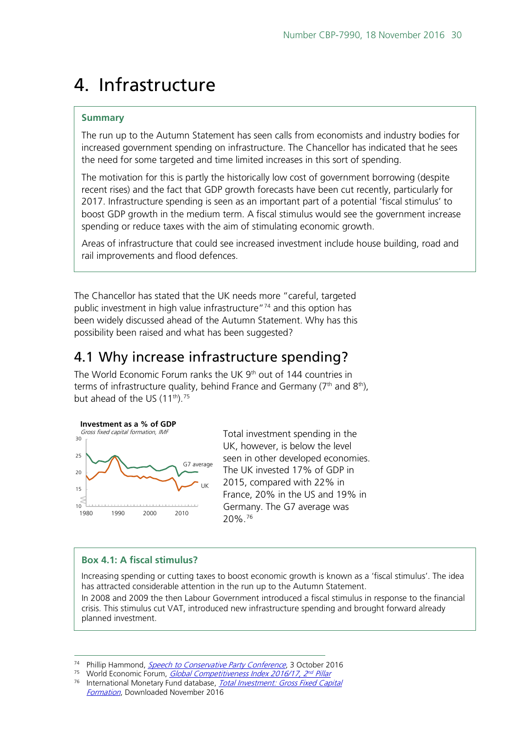# <span id="page-29-0"></span>4. Infrastructure

## **Summary**

The run up to the Autumn Statement has seen calls from economists and industry bodies for increased government spending on infrastructure. The Chancellor has indicated that he sees the need for some targeted and time limited increases in this sort of spending.

The motivation for this is partly the historically low cost of government borrowing (despite recent rises) and the fact that GDP growth forecasts have been cut recently, particularly for 2017. Infrastructure spending is seen as an important part of a potential 'fiscal stimulus' to boost GDP growth in the medium term. A fiscal stimulus would see the government increase spending or reduce taxes with the aim of stimulating economic growth.

Areas of infrastructure that could see increased investment include house building, road and rail improvements and flood defences.

The Chancellor has stated that the UK needs more "careful, targeted public investment in high value infrastructure"<sup>[74](#page-29-2)</sup> and this option has been widely discussed ahead of the Autumn Statement. Why has this possibility been raised and what has been suggested?

# <span id="page-29-1"></span>4.1 Why increase infrastructure spending?

The World Economic Forum ranks the UK 9<sup>th</sup> out of 144 countries in terms of infrastructure quality, behind France and Germany ( $7<sup>th</sup>$  and  $8<sup>th</sup>$ ), but ahead of the US  $(11^{th})$ .<sup>[75](#page-29-3)</sup>



Total investment spending in the UK, however, is below the level seen in other developed economies. The UK invested 17% of GDP in 2015, compared with 22% in France, 20% in the US and 19% in Germany. The G7 average was 20%.[76](#page-29-4)

## **Box 4.1: A fiscal stimulus?**

Increasing spending or cutting taxes to boost economic growth is known as a 'fiscal stimulus'. The idea has attracted considerable attention in the run up to the Autumn Statement.

In 2008 and 2009 the then Labour Government introduced a fiscal stimulus in response to the financial crisis. This stimulus cut VAT, introduced new infrastructure spending and brought forward already planned investment.

<sup>74</sup> Phillip Hammond, *[Speech to Conservative Party Conference](http://press.conservatives.com/post/151284663940/hammond-an-economy-that-works-for-everyone)*, 3 October 2016

<span id="page-29-3"></span><span id="page-29-2"></span><sup>75</sup> World Economic Forum, *[Global Competitiveness Index 2016/17, 2nd](http://reports.weforum.org/global-competitiveness-index/competitiveness-rankings/#series=GCI.A.02) Pillar* 

<span id="page-29-4"></span><sup>&</sup>lt;sup>76</sup> International Monetary Fund database, *Total Investment: Gross Fixed Capital* [Formation](http://www.imf.org/external/pubs/ft/weo/2016/02/weodata/weorept.aspx?sy=2014&ey=2021&scsm=1&ssd=1&sort=country&ds=.&br=1&pr1.x=51&pr1.y=13&c=156%2C158%2C132%2C112%2C134%2C111%2C136&s=NID_NGDP&grp=0&a=), Downloaded November 2016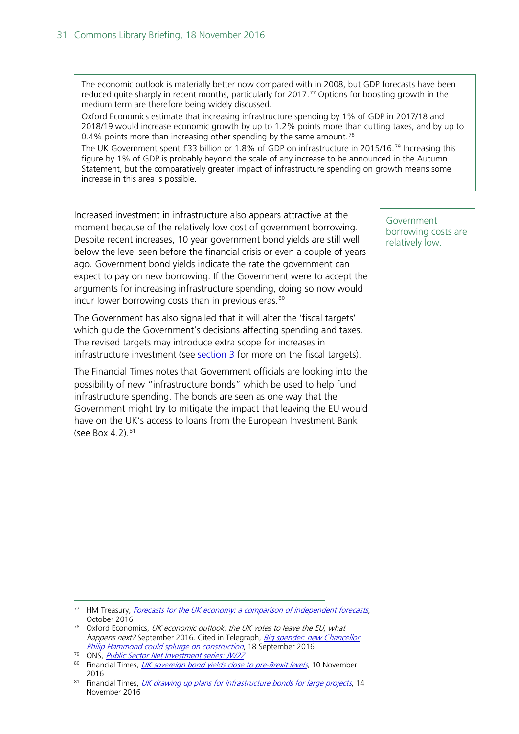The economic outlook is materially better now compared with in 2008, but GDP forecasts have been reduced quite sharply in recent months, particularly for 2017.<sup>[77](#page-30-0)</sup> Options for boosting growth in the medium term are therefore being widely discussed.

Oxford Economics estimate that increasing infrastructure spending by 1% of GDP in 2017/18 and 2018/19 would increase economic growth by up to 1.2% points more than cutting taxes, and by up to 0.4% points more than increasing other spending by the same amount.<sup>[78](#page-30-1)</sup>

The UK Government spent £33 billion or 1.8% of GDP on infrastructure in 2015/16.<sup>[79](#page-30-2)</sup> Increasing this figure by 1% of GDP is probably beyond the scale of any increase to be announced in the Autumn Statement, but the comparatively greater impact of infrastructure spending on growth means some increase in this area is possible.

Increased investment in infrastructure also appears attractive at the moment because of the relatively low cost of government borrowing. Despite recent increases, 10 year government bond yields are still well below the level seen before the financial crisis or even a couple of years ago. Government bond yields indicate the rate the government can expect to pay on new borrowing. If the Government were to accept the arguments for increasing infrastructure spending, doing so now would incur lower borrowing costs than in previous eras.<sup>[80](#page-30-3)</sup>

The Government has also signalled that it will alter the 'fiscal targets' which guide the Government's decisions affecting spending and taxes. The revised targets may introduce extra scope for increases in infrastructure investment (see  $section 3$  for more on the fiscal targets).

The Financial Times notes that Government officials are looking into the possibility of new "infrastructure bonds" which be used to help fund infrastructure spending. The bonds are seen as one way that the Government might try to mitigate the impact that leaving the EU would have on the UK's access to loans from the European Investment Bank (see Box 4.2). $81$ 

Government borrowing costs are relatively low.

- <span id="page-30-0"></span><sup>77</sup> HM Treasury, *[Forecasts for the UK economy: a comparison of independent forecasts](https://www.gov.uk/government/uploads/system/uploads/attachment_data/file/561139/PU797_Forecast_for_the_UK_Economy_Oct_2016_covers.pdf)*,
- <span id="page-30-1"></span>October 2016<br><sup>78</sup> Oxford Economics, UK economic outlook: the UK votes to leave the EU, what happens next? September 2016. Cited in Telegraph, Big spender: new Chancellor [Philip Hammond could splurge on construction](http://www.telegraph.co.uk/business/2016/09/18/big-spender-new-chancellor-philip-hammond-could-splurge-on-const/), 18 September 2016
- <span id="page-30-2"></span>79 ONS, [Public Sector Net Investment](http://www.ons.gov.uk/economy/governmentpublicsectorandtaxes/publicsectorfinance/timeseries/jw2z/pusf) series: JW2

<span id="page-30-3"></span><sup>80</sup> Financial Times, *[UK sovereign bond yields close to pre-Brexit levels](https://www.ft.com/content/445632f8-a741-11e6-8898-79a99e2a4de6)*, 10 November 2016

<span id="page-30-4"></span><sup>81</sup> Financial Times, [UK drawing up plans for infrastructure bonds for large projects](https://www.ft.com/content/260f1fe2-aa59-11e6-a0bb-97f42551dbf4), 14 November 2016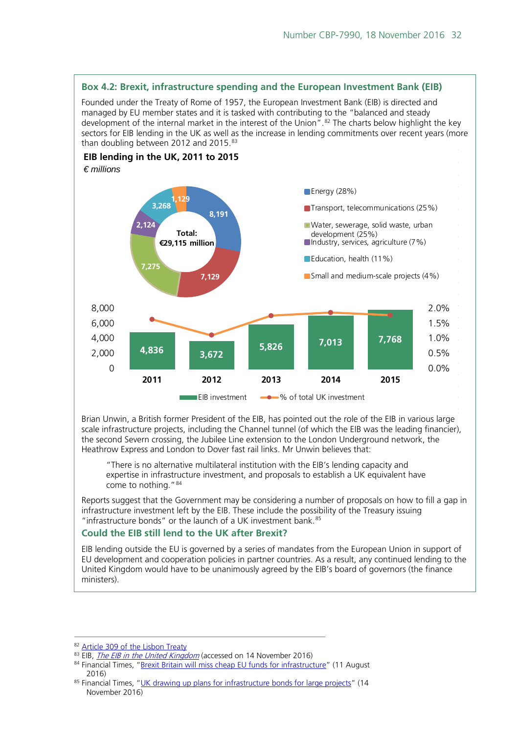

Brian Unwin, a British former President of the EIB, has pointed out the role of the EIB in various large scale infrastructure projects, including the Channel tunnel (of which the EIB was the leading financier), the second Severn crossing, the Jubilee Line extension to the London Underground network, the Heathrow Express and London to Dover fast rail links. Mr Unwin believes that:

"There is no alternative multilateral institution with the EIB's lending capacity and expertise in infrastructure investment, and proposals to establish a UK equivalent have come to nothing."[84](#page-31-2)

Reports suggest that the Government may be considering a number of proposals on how to fill a gap in infrastructure investment left by the EIB. These include the possibility of the Treasury issuing "infrastructure bonds" or the launch of a UK investment bank.<sup>[85](#page-31-3)</sup>

#### **Could the EIB still lend to the UK after Brexit?**

EIB lending outside the EU is governed by a series of mandates from the European Union in support of EU development and cooperation policies in partner countries. As a result, any continued lending to the United Kingdom would have to be unanimously agreed by the EIB's board of governors (the finance ministers).

<span id="page-31-0"></span> <sup>82</sup> [Article 309 of the Lisbon Treaty](http://eur-lex.europa.eu/legal-content/EN/TXT/PDF/?uri=CELEX:12012E/TXT&from=EN)

<sup>&</sup>lt;sup>83</sup> EIB, *<u>[The EIB in the United Kingdom](http://www.eib.org/projects/regions/european-union/united-kingdom/index.htm)</u>* (accessed on 14 November 2016)

<span id="page-31-2"></span><span id="page-31-1"></span><sup>84</sup> Financial Times, ["Brexit Britain will miss cheap EU funds for infrastructure"](http://www.ft.com/cms/s/0/67715276-5742-11e6-9f70-badea1b336d4.html?siteedition=uk#axzz4Ld76nDK5) (11 August 2016)

<span id="page-31-3"></span><sup>85</sup> Financial Times, ["UK drawing up plans for infrastructure bonds for large projects"](https://www.ft.com/content/260f1fe2-aa59-11e6-a0bb-97f42551dbf4) (14 November 2016)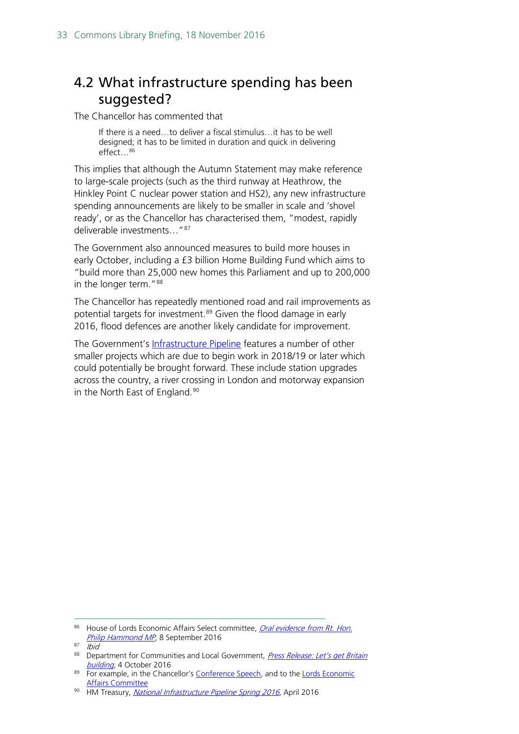# <span id="page-32-0"></span>4.2 What infrastructure spending has been suggested?

The Chancellor has commented that

If there is a need…to deliver a fiscal stimulus…it has to be well designed; it has to be limited in duration and quick in delivering effect…[86](#page-32-1)

This implies that although the Autumn Statement may make reference to large-scale projects (such as the third runway at Heathrow, the Hinkley Point C nuclear power station and HS2), any new infrastructure spending announcements are likely to be smaller in scale and 'shovel ready', or as the Chancellor has characterised them, "modest, rapidly deliverable investments…"[87](#page-32-2)

The Government also announced measures to build more houses in early October, including a £3 billion Home Building Fund which aims to "build more than 25,000 new homes this Parliament and up to 200,000 in the longer term."<sup>[88](#page-32-3)</sup>

The Chancellor has repeatedly mentioned road and rail improvements as potential targets for investment.<sup>[89](#page-32-4)</sup> Given the flood damage in early 2016, flood defences are another likely candidate for improvement.

The Government's [Infrastructure Pipeline](https://www.gov.uk/government/publications/national-infrastructure-pipeline-2016) features a number of other smaller projects which are due to begin work in 2018/19 or later which could potentially be brought forward. These include station upgrades across the country, a river crossing in London and motorway expansion in the North East of England.<sup>[90](#page-32-5)</sup>

<span id="page-32-1"></span><sup>86</sup> House of Lords Economic Affairs Select committee, Oral evidence from Rt. Hon. [Philip Hammond MP](http://data.parliament.uk/writtenevidence/committeeevidence.svc/evidencedocument/economic-affairs-committee/chancellor-of-the-exchequer/oral/37979.html), 8 September 2016

<span id="page-32-2"></span> $87$  Ibid

<span id="page-32-3"></span><sup>88</sup> Department for Communities and Local Government, Press Release: Let's get Britain [building](https://www.gov.uk/government/news/sajid-javid-and-philip-hammond-lets-get-britain-building), 4 October 2016

<span id="page-32-4"></span><sup>&</sup>lt;sup>89</sup> For example, in the Chancellor's [Conference Speech,](http://press.conservatives.com/post/151284663940/hammond-an-economy-that-works-for-everyone) and to the Lords Economic [Affairs Committee](http://data.parliament.uk/writtenevidence/committeeevidence.svc/evidencedocument/economic-affairs-committee/chancellor-of-the-exchequer/oral/37979.html)

<span id="page-32-5"></span><sup>90</sup> HM Treasury, *[National Infrastructure Pipeline Spring 2016](https://www.gov.uk/government/publications/national-infrastructure-pipeline-2016)*, April 2016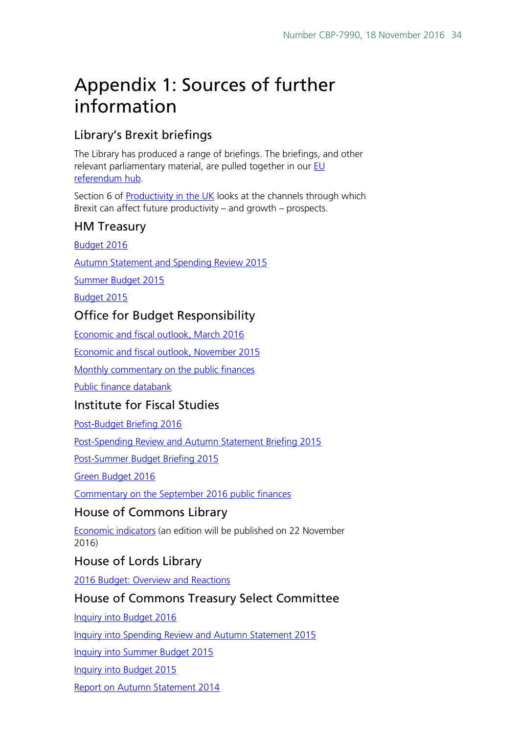# <span id="page-33-0"></span>Appendix 1: Sources of further information

# Library's Brexit briefings

The Library has produced a range of briefings. The briefings, and other relevant parliamentary material, are pulled together in our EU [referendum hub.](http://www.parliament.uk/eu-referendum)

Section 6 of [Productivity in the UK](http://researchbriefings.parliament.uk/ResearchBriefing/Summary/SN06492) looks at the channels through which Brexit can affect future productivity – and growth – prospects.

# HM Treasury

[Budget 2016](https://www.gov.uk/government/topical-events/budget-2016)

[Autumn Statement and Spending Review 2015](https://www.gov.uk/government/topical-events/autumn-statement-and-spending-review-2015)

[Summer Budget 2015](https://www.gov.uk/government/topical-events/budget-july-2015)

[Budget 2015](https://www.gov.uk/government/topical-events/budget-2015)

# Office for Budget Responsibility

[Economic and fiscal outlook, March 2016](http://budgetresponsibility.org.uk/efo/economic-fiscal-outlook-march-2016/)

[Economic and fiscal outlook, November 2015](http://budgetresponsibility.org.uk/efo/economic-and-fiscal-outlook-november-2015/)

[Monthly commentary on the public finances](http://budgetresponsibility.org.uk/category/topics/monthly-public-finance-data/)

[Public finance databank](http://budgetresponsibility.org.uk/data/)

# Institute for Fiscal Studies

[Post-Budget Briefing 2016](https://www.ifs.org.uk/tools_and_resources/budget/512)

[Post-Spending Review and Autumn Statement Briefing 2015](http://www.ifs.org.uk/tools_and_resources/budget/509)

[Post-Summer Budget Briefing 2015](http://www.ifs.org.uk/tools_and_resources/budget/505)

[Green Budget 2016](http://www.ifs.org.uk/publications/8129)

[Commentary on the September 2016 public finances](https://www.ifs.org.uk/publications/8703)

# House of Commons Library

[Economic indicators](http://www.parliament.uk/topics/Economic-situation.htm) (an edition will be published on 22 November 2016)

# House of Lords Library

[2016 Budget: Overview and Reactions](http://researchbriefings.parliament.uk/ResearchBriefing/Summary/LLN-2016-0016)

# House of Commons Treasury Select Committee

[Inquiry into Budget 2016](http://www.parliament.uk/business/committees/committees-a-z/commons-select/treasury-committee/inquiries1/parliament-2015/budget-2016/)

[Inquiry into Spending Review and Autumn Statement 2015](http://www.parliament.uk/business/committees/committees-a-z/commons-select/treasury-committee/inquiries1/parliament-2015/spending-review-autumn-statement-15-16/)

[Inquiry into Summer Budget 2015](http://www.parliament.uk/business/committees/committees-a-z/commons-select/treasury-committee/inquiries1/parliament-2015/summer-budget-2015/)

[Inquiry into Budget 2015](http://www.parliament.uk/business/committees/committees-a-z/commons-select/treasury-committee/inquiries1/parliament-2010/budget-2015/)

[Report on Autumn Statement 2014](http://www.publications.parliament.uk/pa/cm201415/cmselect/cmtreasy/870/87002.htm)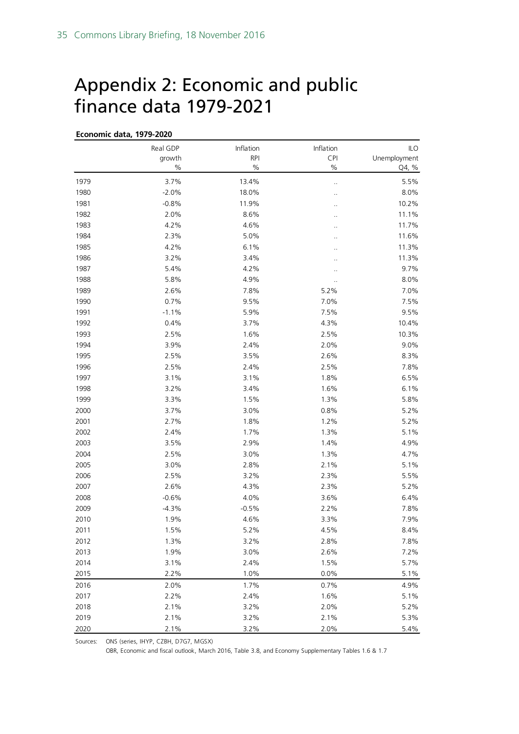# <span id="page-34-0"></span>Appendix 2: Economic and public finance data 1979-2021

| Economic data, 1979-2020 |                    |                         |                      |                            |  |  |
|--------------------------|--------------------|-------------------------|----------------------|----------------------------|--|--|
|                          | Real GDP<br>growth | Inflation<br><b>RPI</b> | Inflation<br>CPI     | <b>ILO</b><br>Unemployment |  |  |
|                          | $\%$               | $\%$                    | $\%$                 | Q4, %                      |  |  |
| 1979                     | 3.7%               | 13.4%                   | $\ddot{\phantom{a}}$ | 5.5%                       |  |  |
| 1980                     | $-2.0%$            | 18.0%                   |                      | 8.0%                       |  |  |
| 1981                     | $-0.8%$            | 11.9%                   |                      | 10.2%                      |  |  |
| 1982                     | 2.0%               | 8.6%                    |                      | 11.1%                      |  |  |
| 1983                     | 4.2%               | 4.6%                    | . .                  | 11.7%                      |  |  |
| 1984                     | 2.3%               | 5.0%                    | Ω.                   | 11.6%                      |  |  |
| 1985                     | 4.2%               | 6.1%                    |                      | 11.3%                      |  |  |
| 1986                     | 3.2%               | 3.4%                    |                      | 11.3%                      |  |  |
| 1987                     | 5.4%               | 4.2%                    |                      | 9.7%                       |  |  |
| 1988                     | 5.8%               | 4.9%                    |                      | 8.0%                       |  |  |
| 1989                     | 2.6%               | 7.8%                    | 5.2%                 | 7.0%                       |  |  |
| 1990                     | 0.7%               | 9.5%                    | 7.0%                 | 7.5%                       |  |  |
| 1991                     | $-1.1%$            | 5.9%                    | 7.5%                 | 9.5%                       |  |  |
| 1992                     | 0.4%               | 3.7%                    | 4.3%                 | 10.4%                      |  |  |
| 1993                     | 2.5%               | 1.6%                    | 2.5%                 | 10.3%                      |  |  |
| 1994                     | 3.9%               | 2.4%                    | 2.0%                 | 9.0%                       |  |  |
| 1995                     | 2.5%               | 3.5%                    | 2.6%                 | 8.3%                       |  |  |
| 1996                     | 2.5%               | 2.4%                    | 2.5%                 | 7.8%                       |  |  |
| 1997                     | 3.1%               | 3.1%                    | 1.8%                 | 6.5%                       |  |  |
| 1998                     | 3.2%               | 3.4%                    | 1.6%                 | 6.1%                       |  |  |
| 1999                     | 3.3%               | 1.5%                    | 1.3%                 | 5.8%                       |  |  |
| 2000                     | 3.7%               | 3.0%                    | 0.8%                 | 5.2%                       |  |  |
| 2001                     | 2.7%               | 1.8%                    | 1.2%                 | 5.2%                       |  |  |
| 2002                     | 2.4%               | 1.7%                    | 1.3%                 | 5.1%                       |  |  |
| 2003                     | 3.5%               | 2.9%                    | 1.4%                 | 4.9%                       |  |  |
| 2004                     | 2.5%               | 3.0%                    | 1.3%                 | 4.7%                       |  |  |
| 2005                     | 3.0%               | 2.8%                    | 2.1%                 | 5.1%                       |  |  |
| 2006                     | 2.5%               | 3.2%                    | 2.3%                 | 5.5%                       |  |  |
| 2007                     | 2.6%               | 4.3%                    | 2.3%                 | 5.2%                       |  |  |
| 2008                     | $-0.6%$            | 4.0%                    | 3.6%                 | 6.4%                       |  |  |
| 2009                     | $-4.3%$            | $-0.5%$                 | 2.2%                 | 7.8%                       |  |  |
| 2010                     | 1.9%               | 4.6%                    | 3.3%                 | 7.9%                       |  |  |
| 2011                     | 1.5%               | 5.2%                    | 4.5%                 | 8.4%                       |  |  |
| 2012                     | 1.3%               | 3.2%                    | 2.8%                 | 7.8%                       |  |  |
| 2013                     | 1.9%               | 3.0%                    | 2.6%                 | 7.2%                       |  |  |
| 2014                     | 3.1%               | 2.4%                    | 1.5%                 | 5.7%                       |  |  |
| 2015                     | 2.2%               | 1.0%                    | 0.0%                 | 5.1%                       |  |  |
| 2016                     | 2.0%               | 1.7%                    | 0.7%                 | 4.9%                       |  |  |
| 2017                     | 2.2%               | 2.4%                    | 1.6%                 | 5.1%                       |  |  |
| 2018                     | 2.1%               | 3.2%                    | 2.0%                 | 5.2%                       |  |  |
| 2019                     | 2.1%               | 3.2%                    | 2.1%                 | 5.3%                       |  |  |
| 2020                     | 2.1%               | 3.2%                    | 2.0%                 | 5.4%                       |  |  |

Sources: ONS (series, IHYP, CZBH, D7G7, MGSX)

OBR, Economic and fiscal outlook, March 2016, Table 3.8, and Economy Supplementary Tables 1.6 & 1.7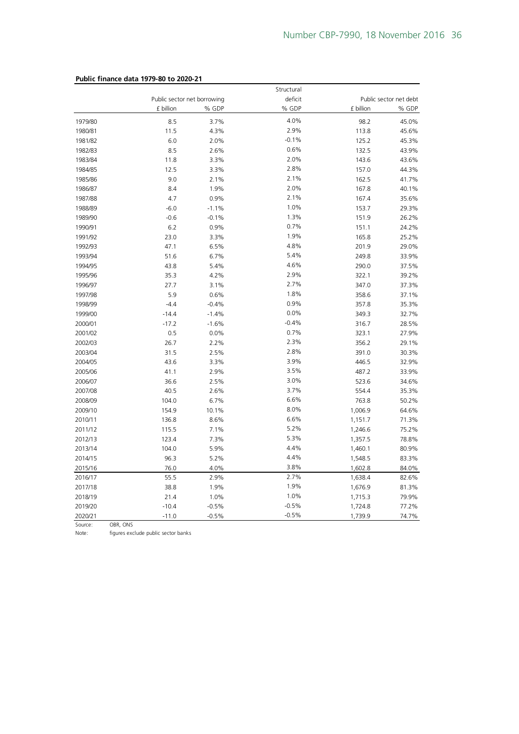|         |                             |         | Structural |           |                        |
|---------|-----------------------------|---------|------------|-----------|------------------------|
|         | Public sector net borrowing |         | deficit    |           | Public sector net debt |
|         | £ billion                   | % GDP   | % GDP      | £ billion | % GDP                  |
| 1979/80 | 8.5                         | 3.7%    | 4.0%       | 98.2      | 45.0%                  |
| 1980/81 | 11.5                        | 4.3%    | 2.9%       | 113.8     | 45.6%                  |
| 1981/82 | 6.0                         | 2.0%    | $-0.1%$    | 125.2     | 45.3%                  |
| 1982/83 | 8.5                         | 2.6%    | 0.6%       | 132.5     | 43.9%                  |
| 1983/84 | 11.8                        | 3.3%    | 2.0%       | 143.6     | 43.6%                  |
| 1984/85 | 12.5                        | 3.3%    | 2.8%       | 157.0     | 44.3%                  |
| 1985/86 | 9.0                         | 2.1%    | 2.1%       | 162.5     | 41.7%                  |
| 1986/87 | 8.4                         | 1.9%    | 2.0%       | 167.8     | 40.1%                  |
| 1987/88 | 4.7                         | 0.9%    | 2.1%       | 167.4     | 35.6%                  |
| 1988/89 | $-6.0$                      | $-1.1%$ | 1.0%       | 153.7     | 29.3%                  |
| 1989/90 | $-0.6$                      | $-0.1%$ | 1.3%       | 151.9     | 26.2%                  |
| 1990/91 | 6.2                         | 0.9%    | 0.7%       | 151.1     | 24.2%                  |
| 1991/92 | 23.0                        | 3.3%    | 1.9%       | 165.8     | 25.2%                  |
| 1992/93 | 47.1                        | 6.5%    | 4.8%       | 201.9     | 29.0%                  |
| 1993/94 | 51.6                        | 6.7%    | 5.4%       | 249.8     | 33.9%                  |
| 1994/95 | 43.8                        | 5.4%    | 4.6%       | 290.0     | 37.5%                  |
| 1995/96 | 35.3                        | 4.2%    | 2.9%       | 322.1     | 39.2%                  |
| 1996/97 | 27.7                        | 3.1%    | 2.7%       | 347.0     | 37.3%                  |
| 1997/98 | 5.9                         | 0.6%    | 1.8%       | 358.6     | 37.1%                  |
| 1998/99 | $-4.4$                      | $-0.4%$ | 0.9%       | 357.8     | 35.3%                  |
| 1999/00 | $-14.4$                     | $-1.4%$ | 0.0%       | 349.3     | 32.7%                  |
| 2000/01 | $-17.2$                     | $-1.6%$ | $-0.4%$    | 316.7     | 28.5%                  |
| 2001/02 | 0.5                         | 0.0%    | 0.7%       | 323.1     | 27.9%                  |
| 2002/03 | 26.7                        | 2.2%    | 2.3%       | 356.2     | 29.1%                  |
| 2003/04 | 31.5                        | 2.5%    | 2.8%       | 391.0     | 30.3%                  |
| 2004/05 | 43.6                        | 3.3%    | 3.9%       | 446.5     | 32.9%                  |
| 2005/06 | 41.1                        | 2.9%    | 3.5%       | 487.2     | 33.9%                  |
| 2006/07 | 36.6                        | 2.5%    | 3.0%       | 523.6     | 34.6%                  |
| 2007/08 | 40.5                        | 2.6%    | 3.7%       | 554.4     | 35.3%                  |
| 2008/09 | 104.0                       | 6.7%    | 6.6%       | 763.8     | 50.2%                  |
| 2009/10 | 154.9                       | 10.1%   | 8.0%       | 1,006.9   | 64.6%                  |
| 2010/11 | 136.8                       | 8.6%    | 6.6%       | 1,151.7   | 71.3%                  |
| 2011/12 | 115.5                       | 7.1%    | 5.2%       | 1,246.6   | 75.2%                  |
| 2012/13 | 123.4                       | 7.3%    | 5.3%       | 1,357.5   | 78.8%                  |
| 2013/14 | 104.0                       | 5.9%    | 4.4%       | 1,460.1   | 80.9%                  |
| 2014/15 | 96.3                        | 5.2%    | 4.4%       | 1,548.5   | 83.3%                  |
| 2015/16 | 76.0                        | 4.0%    | 3.8%       | 1,602.8   | 84.0%                  |
| 2016/17 | 55.5                        | 2.9%    | 2.7%       | 1,638.4   | 82.6%                  |
| 2017/18 | 38.8                        | 1.9%    | 1.9%       | 1,676.9   | 81.3%                  |
| 2018/19 | 21.4                        | 1.0%    | 1.0%       | 1,715.3   | 79.9%                  |
| 2019/20 | $-10.4$                     | $-0.5%$ | $-0.5%$    | 1,724.8   | 77.2%                  |
| 2020/21 | $-11.0$                     | $-0.5%$ | $-0.5%$    | 1,739.9   | 74.7%                  |

#### **Public finance data 1979-80 to 2020-21**

Source: OBR, ONS<br>Note: figures exc

Note: figures exclude public sector banks